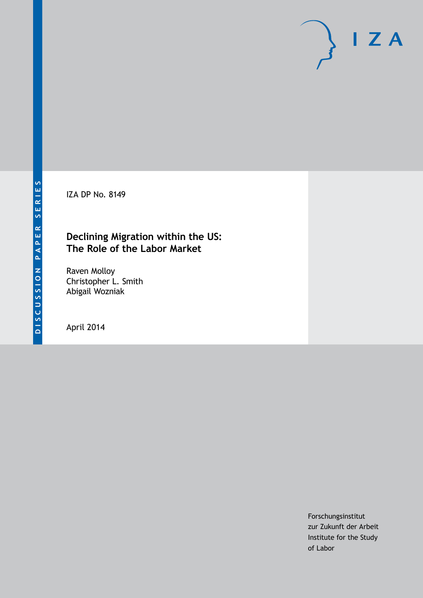IZA DP No. 8149

## **Declining Migration within the US: The Role of the Labor Market**

Raven Molloy Christopher L. Smith Abigail Wozniak

April 2014

Forschungsinstitut zur Zukunft der Arbeit Institute for the Study of Labor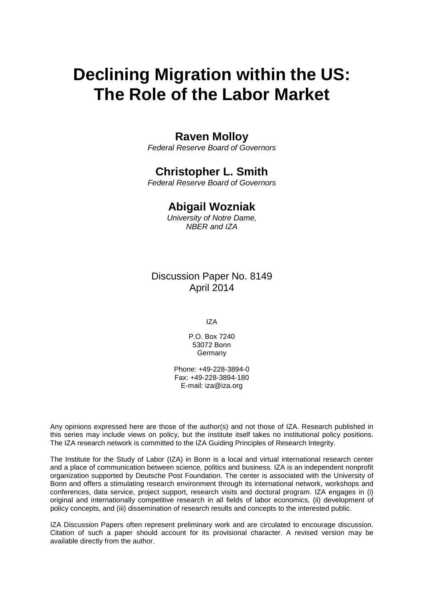# **Declining Migration within the US: The Role of the Labor Market**

# **Raven Molloy**

*Federal Reserve Board of Governors*

# **Christopher L. Smith**

*Federal Reserve Board of Governors*

# **Abigail Wozniak**

*University of Notre Dame, NBER and IZA*

Discussion Paper No. 8149 April 2014

IZA

P.O. Box 7240 53072 Bonn Germany

Phone: +49-228-3894-0 Fax: +49-228-3894-180 E-mail: [iza@iza.org](mailto:iza@iza.org)

Any opinions expressed here are those of the author(s) and not those of IZA. Research published in this series may include views on policy, but the institute itself takes no institutional policy positions. The IZA research network is committed to the IZA Guiding Principles of Research Integrity.

<span id="page-1-0"></span>The Institute for the Study of Labor (IZA) in Bonn is a local and virtual international research center and a place of communication between science, politics and business. IZA is an independent nonprofit organization supported by Deutsche Post Foundation. The center is associated with the University of Bonn and offers a stimulating research environment through its international network, workshops and conferences, data service, project support, research visits and doctoral program. IZA engages in (i) original and internationally competitive research in all fields of labor economics, (ii) development of policy concepts, and (iii) dissemination of research results and concepts to the interested public.

IZA Discussion Papers often represent preliminary work and are circulated to encourage discussion. Citation of such a paper should account for its provisional character. A revised version may be available directly from the author.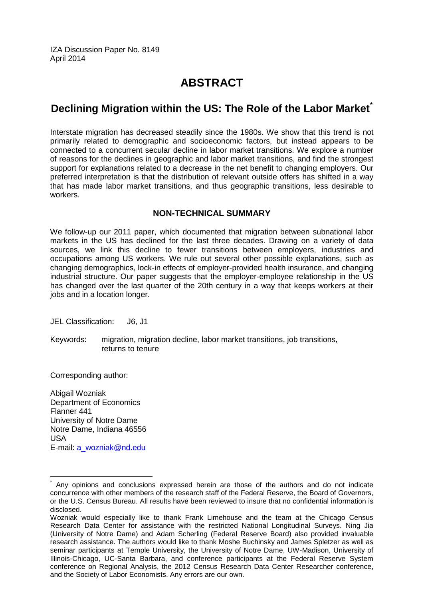IZA Discussion Paper No. 8149 April 2014

# **ABSTRACT**

# **Declining Migration within the US: The Role of the Labor Market[\\*](#page-1-0)**

Interstate migration has decreased steadily since the 1980s. We show that this trend is not primarily related to demographic and socioeconomic factors, but instead appears to be connected to a concurrent secular decline in labor market transitions. We explore a number of reasons for the declines in geographic and labor market transitions, and find the strongest support for explanations related to a decrease in the net benefit to changing employers. Our preferred interpretation is that the distribution of relevant outside offers has shifted in a way that has made labor market transitions, and thus geographic transitions, less desirable to workers.

### **NON-TECHNICAL SUMMARY**

We follow-up our 2011 paper, which documented that migration between subnational labor markets in the US has declined for the last three decades. Drawing on a variety of data sources, we link this decline to fewer transitions between employers, industries and occupations among US workers. We rule out several other possible explanations, such as changing demographics, lock-in effects of employer-provided health insurance, and changing industrial structure. Our paper suggests that the employer-employee relationship in the US has changed over the last quarter of the 20th century in a way that keeps workers at their jobs and in a location longer.

- JEL Classification: J6, J1
- Keywords: migration, migration decline, labor market transitions, job transitions, returns to tenure

Corresponding author:

Abigail Wozniak Department of Economics Flanner 441 University of Notre Dame Notre Dame, Indiana 46556 USA E-mail: [a\\_wozniak@nd.edu](mailto:a_wozniak@nd.edu)

Any opinions and conclusions expressed herein are those of the authors and do not indicate concurrence with other members of the research staff of the Federal Reserve, the Board of Governors, or the U.S. Census Bureau. All results have been reviewed to insure that no confidential information is disclosed.

Wozniak would especially like to thank Frank Limehouse and the team at the Chicago Census Research Data Center for assistance with the restricted National Longitudinal Surveys. Ning Jia (University of Notre Dame) and Adam Scherling (Federal Reserve Board) also provided invaluable research assistance. The authors would like to thank Moshe Buchinsky and James Spletzer as well as seminar participants at Temple University, the University of Notre Dame, UW-Madison, University of Illinois-Chicago, UC-Santa Barbara, and conference participants at the Federal Reserve System conference on Regional Analysis, the 2012 Census Research Data Center Researcher conference, and the Society of Labor Economists. Any errors are our own.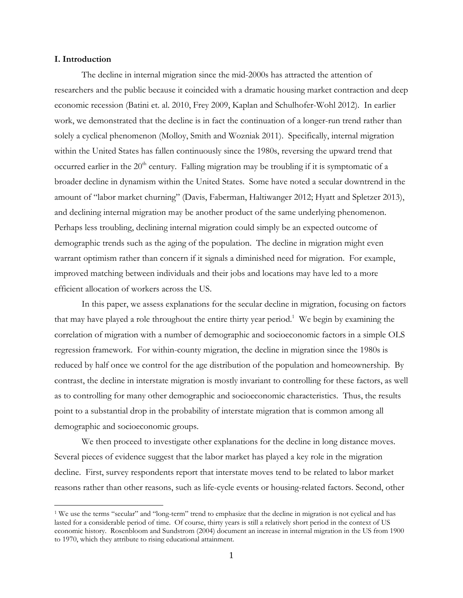#### **I. Introduction**

 $\overline{a}$ 

The decline in internal migration since the mid-2000s has attracted the attention of researchers and the public because it coincided with a dramatic housing market contraction and deep economic recession (Batini et. al. 2010, Frey 2009, Kaplan and Schulhofer-Wohl 2012). In earlier work, we demonstrated that the decline is in fact the continuation of a longer-run trend rather than solely a cyclical phenomenon (Molloy, Smith and Wozniak 2011). Specifically, internal migration within the United States has fallen continuously since the 1980s, reversing the upward trend that occurred earlier in the  $20<sup>th</sup>$  century. Falling migration may be troubling if it is symptomatic of a broader decline in dynamism within the United States. Some have noted a secular downtrend in the amount of "labor market churning" (Davis, Faberman, Haltiwanger 2012; Hyatt and Spletzer 2013), and declining internal migration may be another product of the same underlying phenomenon. Perhaps less troubling, declining internal migration could simply be an expected outcome of demographic trends such as the aging of the population. The decline in migration might even warrant optimism rather than concern if it signals a diminished need for migration. For example, improved matching between individuals and their jobs and locations may have led to a more efficient allocation of workers across the US.

In this paper, we assess explanations for the secular decline in migration, focusing on factors that may have played a role throughout the entire thirty year period.<sup>1</sup> We begin by examining the correlation of migration with a number of demographic and socioeconomic factors in a simple OLS regression framework. For within-county migration, the decline in migration since the 1980s is reduced by half once we control for the age distribution of the population and homeownership. By contrast, the decline in interstate migration is mostly invariant to controlling for these factors, as well as to controlling for many other demographic and socioeconomic characteristics. Thus, the results point to a substantial drop in the probability of interstate migration that is common among all demographic and socioeconomic groups.

We then proceed to investigate other explanations for the decline in long distance moves. Several pieces of evidence suggest that the labor market has played a key role in the migration decline. First, survey respondents report that interstate moves tend to be related to labor market reasons rather than other reasons, such as life-cycle events or housing-related factors. Second, other

<sup>1</sup> We use the terms "secular" and "long-term" trend to emphasize that the decline in migration is not cyclical and has lasted for a considerable period of time. Of course, thirty years is still a relatively short period in the context of US economic history. Rosenbloom and Sundstrom (2004) document an increase in internal migration in the US from 1900 to 1970, which they attribute to rising educational attainment.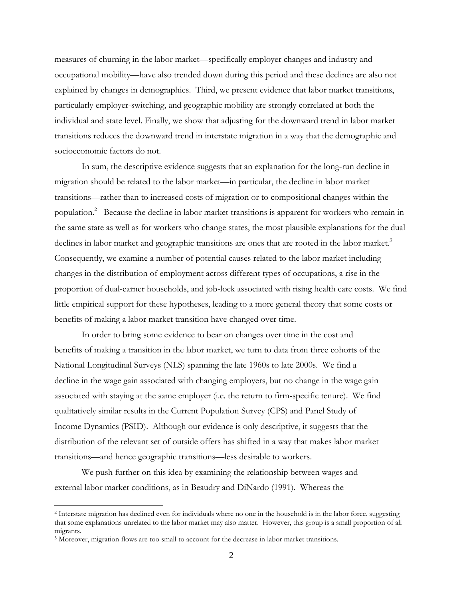measures of churning in the labor market—specifically employer changes and industry and occupational mobility—have also trended down during this period and these declines are also not explained by changes in demographics. Third, we present evidence that labor market transitions, particularly employer-switching, and geographic mobility are strongly correlated at both the individual and state level. Finally, we show that adjusting for the downward trend in labor market transitions reduces the downward trend in interstate migration in a way that the demographic and socioeconomic factors do not.

In sum, the descriptive evidence suggests that an explanation for the long-run decline in migration should be related to the labor market—in particular, the decline in labor market transitions—rather than to increased costs of migration or to compositional changes within the population.<sup>2</sup> Because the decline in labor market transitions is apparent for workers who remain in the same state as well as for workers who change states, the most plausible explanations for the dual declines in labor market and geographic transitions are ones that are rooted in the labor market.<sup>3</sup> Consequently, we examine a number of potential causes related to the labor market including changes in the distribution of employment across different types of occupations, a rise in the proportion of dual-earner households, and job-lock associated with rising health care costs. We find little empirical support for these hypotheses, leading to a more general theory that some costs or benefits of making a labor market transition have changed over time.

In order to bring some evidence to bear on changes over time in the cost and benefits of making a transition in the labor market, we turn to data from three cohorts of the National Longitudinal Surveys (NLS) spanning the late 1960s to late 2000s. We find a decline in the wage gain associated with changing employers, but no change in the wage gain associated with staying at the same employer (i.e. the return to firm-specific tenure). We find qualitatively similar results in the Current Population Survey (CPS) and Panel Study of Income Dynamics (PSID). Although our evidence is only descriptive, it suggests that the distribution of the relevant set of outside offers has shifted in a way that makes labor market transitions—and hence geographic transitions—less desirable to workers.

We push further on this idea by examining the relationship between wages and external labor market conditions, as in Beaudry and DiNardo (1991). Whereas the

<sup>2</sup> Interstate migration has declined even for individuals where no one in the household is in the labor force, suggesting that some explanations unrelated to the labor market may also matter. However, this group is a small proportion of all migrants.

<sup>&</sup>lt;sup>3</sup> Moreover, migration flows are too small to account for the decrease in labor market transitions.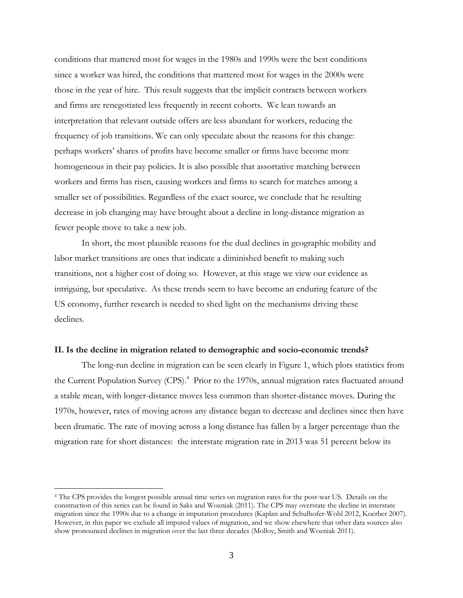conditions that mattered most for wages in the 1980s and 1990s were the best conditions since a worker was hired, the conditions that mattered most for wages in the 2000s were those in the year of hire. This result suggests that the implicit contracts between workers and firms are renegotiated less frequently in recent cohorts. We lean towards an interpretation that relevant outside offers are less abundant for workers, reducing the frequency of job transitions. We can only speculate about the reasons for this change: perhaps workers' shares of profits have become smaller or firms have become more homogeneous in their pay policies. It is also possible that assortative matching between workers and firms has risen, causing workers and firms to search for matches among a smaller set of possibilities. Regardless of the exact source, we conclude that he resulting decrease in job changing may have brought about a decline in long-distance migration as fewer people move to take a new job.

In short, the most plausible reasons for the dual declines in geographic mobility and labor market transitions are ones that indicate a diminished benefit to making such transitions, not a higher cost of doing so. However, at this stage we view our evidence as intriguing, but speculative. As these trends seem to have become an enduring feature of the US economy, further research is needed to shed light on the mechanisms driving these declines.

#### **II. Is the decline in migration related to demographic and socio-economic trends?**

The long-run decline in migration can be seen clearly in Figure 1, which plots statistics from the Current Population Survey (CPS).<sup>4</sup> Prior to the 1970s, annual migration rates fluctuated around a stable mean, with longer-distance moves less common than shorter-distance moves. During the 1970s, however, rates of moving across any distance began to decrease and declines since then have been dramatic. The rate of moving across a long distance has fallen by a larger percentage than the migration rate for short distances: the interstate migration rate in 2013 was 51 percent below its

 $\overline{a}$ 

<sup>4</sup> The CPS provides the longest possible annual time series on migration rates for the post-war US. Details on the construction of this series can be found in Saks and Wozniak (2011). The CPS may overstate the decline in interstate migration since the 1990s due to a change in imputation procedures (Kaplan and Schulhofer-Wohl 2012, Koerber 2007). However, in this paper we exclude all imputed values of migration, and we show elsewhere that other data sources also show pronounced declines in migration over the last three decades (Molloy, Smith and Wozniak 2011).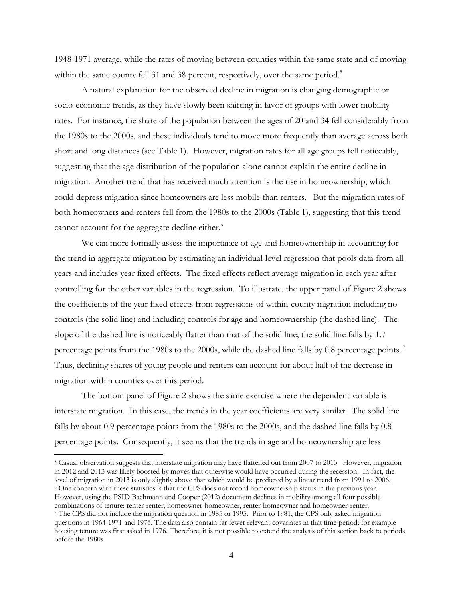1948-1971 average, while the rates of moving between counties within the same state and of moving within the same county fell 31 and 38 percent, respectively, over the same period.<sup>5</sup>

A natural explanation for the observed decline in migration is changing demographic or socio-economic trends, as they have slowly been shifting in favor of groups with lower mobility rates. For instance, the share of the population between the ages of 20 and 34 fell considerably from the 1980s to the 2000s, and these individuals tend to move more frequently than average across both short and long distances (see Table 1). However, migration rates for all age groups fell noticeably, suggesting that the age distribution of the population alone cannot explain the entire decline in migration. Another trend that has received much attention is the rise in homeownership, which could depress migration since homeowners are less mobile than renters. But the migration rates of both homeowners and renters fell from the 1980s to the 2000s (Table 1), suggesting that this trend cannot account for the aggregate decline either.<sup>6</sup>

We can more formally assess the importance of age and homeownership in accounting for the trend in aggregate migration by estimating an individual-level regression that pools data from all years and includes year fixed effects. The fixed effects reflect average migration in each year after controlling for the other variables in the regression. To illustrate, the upper panel of Figure 2 shows the coefficients of the year fixed effects from regressions of within-county migration including no controls (the solid line) and including controls for age and homeownership (the dashed line). The slope of the dashed line is noticeably flatter than that of the solid line; the solid line falls by 1.7 percentage points from the 1980s to the 2000s, while the dashed line falls by 0.8 percentage points.<sup>7</sup> Thus, declining shares of young people and renters can account for about half of the decrease in migration within counties over this period.

The bottom panel of Figure 2 shows the same exercise where the dependent variable is interstate migration. In this case, the trends in the year coefficients are very similar. The solid line falls by about 0.9 percentage points from the 1980s to the 2000s, and the dashed line falls by 0.8 percentage points. Consequently, it seems that the trends in age and homeownership are less

<sup>5</sup> Casual observation suggests that interstate migration may have flattened out from 2007 to 2013. However, migration in 2012 and 2013 was likely boosted by moves that otherwise would have occurred during the recession. In fact, the level of migration in 2013 is only slightly above that which would be predicted by a linear trend from 1991 to 2006.<br><sup>6</sup> One concern with these statistics is that the CPS does not record homeownership status in the previou However, using the PSID Bachmann and Cooper (2012) document declines in mobility among all four possible combinations of tenure: renter-renter, homeowner-homeowner, renter-homeowner and homeowner-renter. 7 The CPS did not include the migration question in 1985 or 1995. Prior to 1981, the CPS only asked migration questions in 1964-1971 and 1975. The data also contain far fewer relevant covariates in that time period; for example

housing tenure was first asked in 1976. Therefore, it is not possible to extend the analysis of this section back to periods before the 1980s.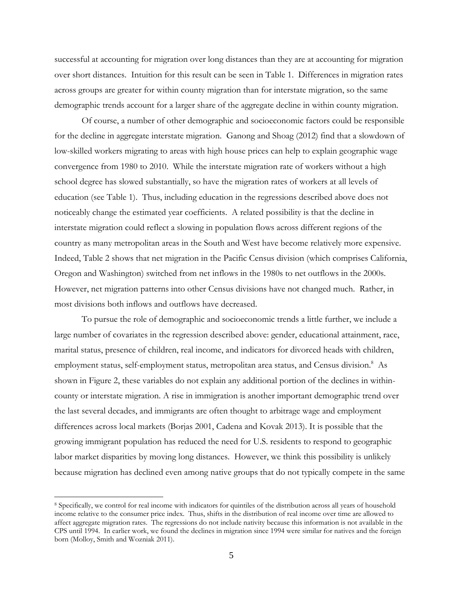successful at accounting for migration over long distances than they are at accounting for migration over short distances. Intuition for this result can be seen in Table 1. Differences in migration rates across groups are greater for within county migration than for interstate migration, so the same demographic trends account for a larger share of the aggregate decline in within county migration.

Of course, a number of other demographic and socioeconomic factors could be responsible for the decline in aggregate interstate migration. Ganong and Shoag (2012) find that a slowdown of low-skilled workers migrating to areas with high house prices can help to explain geographic wage convergence from 1980 to 2010. While the interstate migration rate of workers without a high school degree has slowed substantially, so have the migration rates of workers at all levels of education (see Table 1). Thus, including education in the regressions described above does not noticeably change the estimated year coefficients. A related possibility is that the decline in interstate migration could reflect a slowing in population flows across different regions of the country as many metropolitan areas in the South and West have become relatively more expensive. Indeed, Table 2 shows that net migration in the Pacific Census division (which comprises California, Oregon and Washington) switched from net inflows in the 1980s to net outflows in the 2000s. However, net migration patterns into other Census divisions have not changed much. Rather, in most divisions both inflows and outflows have decreased.

To pursue the role of demographic and socioeconomic trends a little further, we include a large number of covariates in the regression described above: gender, educational attainment, race, marital status, presence of children, real income, and indicators for divorced heads with children, employment status, self-employment status, metropolitan area status, and Census division.<sup>8</sup> As shown in Figure 2, these variables do not explain any additional portion of the declines in withincounty or interstate migration. A rise in immigration is another important demographic trend over the last several decades, and immigrants are often thought to arbitrage wage and employment differences across local markets (Borjas 2001, Cadena and Kovak 2013). It is possible that the growing immigrant population has reduced the need for U.S. residents to respond to geographic labor market disparities by moving long distances. However, we think this possibility is unlikely because migration has declined even among native groups that do not typically compete in the same

<sup>8</sup> Specifically, we control for real income with indicators for quintiles of the distribution across all years of household income relative to the consumer price index. Thus, shifts in the distribution of real income over time are allowed to affect aggregate migration rates. The regressions do not include nativity because this information is not available in the CPS until 1994. In earlier work, we found the declines in migration since 1994 were similar for natives and the foreign born (Molloy, Smith and Wozniak 2011).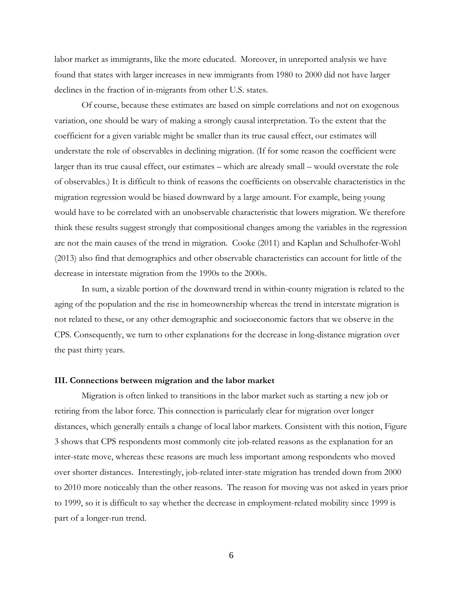labor market as immigrants, like the more educated. Moreover, in unreported analysis we have found that states with larger increases in new immigrants from 1980 to 2000 did not have larger declines in the fraction of in-migrants from other U.S. states.

Of course, because these estimates are based on simple correlations and not on exogenous variation, one should be wary of making a strongly causal interpretation. To the extent that the coefficient for a given variable might be smaller than its true causal effect, our estimates will understate the role of observables in declining migration. (If for some reason the coefficient were larger than its true causal effect, our estimates – which are already small – would overstate the role of observables.) It is difficult to think of reasons the coefficients on observable characteristics in the migration regression would be biased downward by a large amount. For example, being young would have to be correlated with an unobservable characteristic that lowers migration. We therefore think these results suggest strongly that compositional changes among the variables in the regression are not the main causes of the trend in migration. Cooke (2011) and Kaplan and Schulhofer-Wohl (2013) also find that demographics and other observable characteristics can account for little of the decrease in interstate migration from the 1990s to the 2000s.

In sum, a sizable portion of the downward trend in within-county migration is related to the aging of the population and the rise in homeownership whereas the trend in interstate migration is not related to these, or any other demographic and socioeconomic factors that we observe in the CPS. Consequently, we turn to other explanations for the decrease in long-distance migration over the past thirty years.

#### **III. Connections between migration and the labor market**

Migration is often linked to transitions in the labor market such as starting a new job or retiring from the labor force. This connection is particularly clear for migration over longer distances, which generally entails a change of local labor markets. Consistent with this notion, Figure 3 shows that CPS respondents most commonly cite job-related reasons as the explanation for an inter-state move, whereas these reasons are much less important among respondents who moved over shorter distances. Interestingly, job-related inter-state migration has trended down from 2000 to 2010 more noticeably than the other reasons. The reason for moving was not asked in years prior to 1999, so it is difficult to say whether the decrease in employment-related mobility since 1999 is part of a longer-run trend.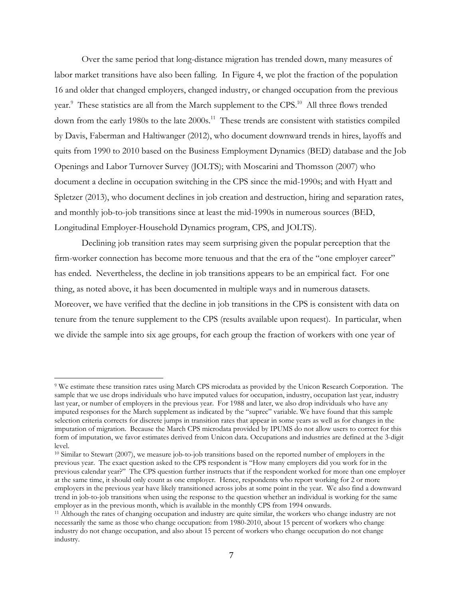Over the same period that long-distance migration has trended down, many measures of labor market transitions have also been falling. In Figure 4, we plot the fraction of the population 16 and older that changed employers, changed industry, or changed occupation from the previous year.<sup>9</sup> These statistics are all from the March supplement to the CPS.<sup>10</sup> All three flows trended down from the early 1980s to the late 2000s.<sup>11</sup> These trends are consistent with statistics compiled by Davis, Faberman and Haltiwanger (2012), who document downward trends in hires, layoffs and quits from 1990 to 2010 based on the Business Employment Dynamics (BED) database and the Job Openings and Labor Turnover Survey (JOLTS); with Moscarini and Thomsson (2007) who document a decline in occupation switching in the CPS since the mid-1990s; and with Hyatt and Spletzer (2013), who document declines in job creation and destruction, hiring and separation rates, and monthly job-to-job transitions since at least the mid-1990s in numerous sources (BED, Longitudinal Employer-Household Dynamics program, CPS, and JOLTS).

Declining job transition rates may seem surprising given the popular perception that the firm-worker connection has become more tenuous and that the era of the "one employer career" has ended. Nevertheless, the decline in job transitions appears to be an empirical fact. For one thing, as noted above, it has been documented in multiple ways and in numerous datasets. Moreover, we have verified that the decline in job transitions in the CPS is consistent with data on tenure from the tenure supplement to the CPS (results available upon request). In particular, when we divide the sample into six age groups, for each group the fraction of workers with one year of

<sup>9</sup> We estimate these transition rates using March CPS microdata as provided by the Unicon Research Corporation. The sample that we use drops individuals who have imputed values for occupation, industry, occupation last year, industry last year, or number of employers in the previous year. For 1988 and later, we also drop individuals who have any imputed responses for the March supplement as indicated by the "suprec" variable. We have found that this sample selection criteria corrects for discrete jumps in transition rates that appear in some years as well as for changes in the imputation of migration. Because the March CPS microdata provided by IPUMS do not allow users to correct for this form of imputation, we favor estimates derived from Unicon data. Occupations and industries are defined at the 3-digit level.

<sup>&</sup>lt;sup>10</sup> Similar to Stewart (2007), we measure job-to-job transitions based on the reported number of employers in the previous year. The exact question asked to the CPS respondent is "How many employers did you work for in the previous calendar year?" The CPS question further instructs that if the respondent worked for more than one employer at the same time, it should only count as one employer. Hence, respondents who report working for 2 or more employers in the previous year have likely transitioned across jobs at some point in the year. We also find a downward trend in job-to-job transitions when using the response to the question whether an individual is working for the same employer as in the previous month, which is available in the monthly CPS from 1994 onwards.<br><sup>11</sup> Although the rates of changing occupation and industry are quite similar, the workers who change industry are not

necessarily the same as those who change occupation: from 1980-2010, about 15 percent of workers who change industry do not change occupation, and also about 15 percent of workers who change occupation do not change industry.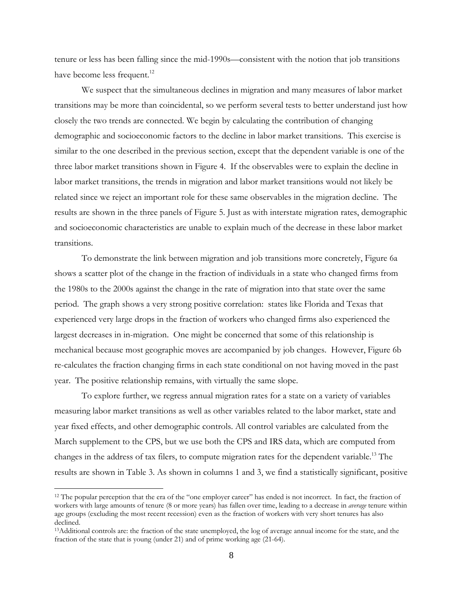tenure or less has been falling since the mid-1990s—consistent with the notion that job transitions have become less frequent.<sup>12</sup>

We suspect that the simultaneous declines in migration and many measures of labor market transitions may be more than coincidental, so we perform several tests to better understand just how closely the two trends are connected. We begin by calculating the contribution of changing demographic and socioeconomic factors to the decline in labor market transitions. This exercise is similar to the one described in the previous section, except that the dependent variable is one of the three labor market transitions shown in Figure 4. If the observables were to explain the decline in labor market transitions, the trends in migration and labor market transitions would not likely be related since we reject an important role for these same observables in the migration decline. The results are shown in the three panels of Figure 5. Just as with interstate migration rates, demographic and socioeconomic characteristics are unable to explain much of the decrease in these labor market transitions.

To demonstrate the link between migration and job transitions more concretely, Figure 6a shows a scatter plot of the change in the fraction of individuals in a state who changed firms from the 1980s to the 2000s against the change in the rate of migration into that state over the same period. The graph shows a very strong positive correlation: states like Florida and Texas that experienced very large drops in the fraction of workers who changed firms also experienced the largest decreases in in-migration. One might be concerned that some of this relationship is mechanical because most geographic moves are accompanied by job changes. However, Figure 6b re-calculates the fraction changing firms in each state conditional on not having moved in the past year. The positive relationship remains, with virtually the same slope.

To explore further, we regress annual migration rates for a state on a variety of variables measuring labor market transitions as well as other variables related to the labor market, state and year fixed effects, and other demographic controls. All control variables are calculated from the March supplement to the CPS, but we use both the CPS and IRS data, which are computed from changes in the address of tax filers, to compute migration rates for the dependent variable.<sup>13</sup> The results are shown in Table 3. As shown in columns 1 and 3, we find a statistically significant, positive

 $12$  The popular perception that the era of the "one employer career" has ended is not incorrect. In fact, the fraction of workers with large amounts of tenure (8 or more years) has fallen over time, leading to a decrease in *average* tenure within age groups (excluding the most recent recession) even as the fraction of workers with very short tenures has also declined.

<sup>13</sup>Additional controls are: the fraction of the state unemployed, the log of average annual income for the state, and the fraction of the state that is young (under 21) and of prime working age (21-64).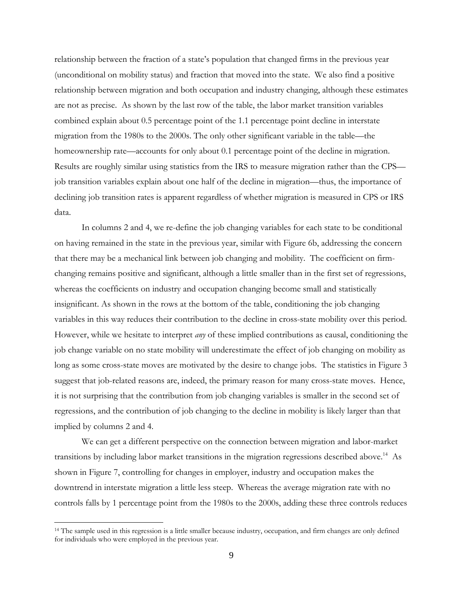relationship between the fraction of a state's population that changed firms in the previous year (unconditional on mobility status) and fraction that moved into the state. We also find a positive relationship between migration and both occupation and industry changing, although these estimates are not as precise. As shown by the last row of the table, the labor market transition variables combined explain about 0.5 percentage point of the 1.1 percentage point decline in interstate migration from the 1980s to the 2000s. The only other significant variable in the table—the homeownership rate—accounts for only about 0.1 percentage point of the decline in migration. Results are roughly similar using statistics from the IRS to measure migration rather than the CPS job transition variables explain about one half of the decline in migration—thus, the importance of declining job transition rates is apparent regardless of whether migration is measured in CPS or IRS data.

In columns 2 and 4, we re-define the job changing variables for each state to be conditional on having remained in the state in the previous year, similar with Figure 6b, addressing the concern that there may be a mechanical link between job changing and mobility. The coefficient on firmchanging remains positive and significant, although a little smaller than in the first set of regressions, whereas the coefficients on industry and occupation changing become small and statistically insignificant. As shown in the rows at the bottom of the table, conditioning the job changing variables in this way reduces their contribution to the decline in cross-state mobility over this period. However, while we hesitate to interpret *any* of these implied contributions as causal, conditioning the job change variable on no state mobility will underestimate the effect of job changing on mobility as long as some cross-state moves are motivated by the desire to change jobs. The statistics in Figure 3 suggest that job-related reasons are, indeed, the primary reason for many cross-state moves. Hence, it is not surprising that the contribution from job changing variables is smaller in the second set of regressions, and the contribution of job changing to the decline in mobility is likely larger than that implied by columns 2 and 4.

We can get a different perspective on the connection between migration and labor-market transitions by including labor market transitions in the migration regressions described above.<sup>14</sup> As shown in Figure 7, controlling for changes in employer, industry and occupation makes the downtrend in interstate migration a little less steep. Whereas the average migration rate with no controls falls by 1 percentage point from the 1980s to the 2000s, adding these three controls reduces

<sup>&</sup>lt;sup>14</sup> The sample used in this regression is a little smaller because industry, occupation, and firm changes are only defined for individuals who were employed in the previous year.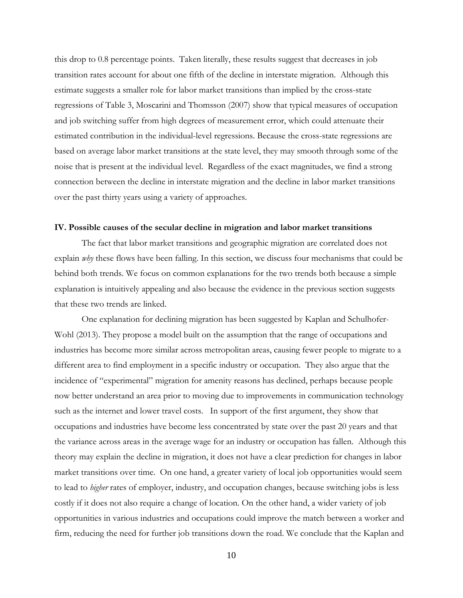this drop to 0.8 percentage points. Taken literally, these results suggest that decreases in job transition rates account for about one fifth of the decline in interstate migration. Although this estimate suggests a smaller role for labor market transitions than implied by the cross-state regressions of Table 3, Moscarini and Thomsson (2007) show that typical measures of occupation and job switching suffer from high degrees of measurement error, which could attenuate their estimated contribution in the individual-level regressions. Because the cross-state regressions are based on average labor market transitions at the state level, they may smooth through some of the noise that is present at the individual level. Regardless of the exact magnitudes, we find a strong connection between the decline in interstate migration and the decline in labor market transitions over the past thirty years using a variety of approaches.

#### **IV. Possible causes of the secular decline in migration and labor market transitions**

The fact that labor market transitions and geographic migration are correlated does not explain *why* these flows have been falling. In this section, we discuss four mechanisms that could be behind both trends. We focus on common explanations for the two trends both because a simple explanation is intuitively appealing and also because the evidence in the previous section suggests that these two trends are linked.

One explanation for declining migration has been suggested by Kaplan and Schulhofer-Wohl (2013). They propose a model built on the assumption that the range of occupations and industries has become more similar across metropolitan areas, causing fewer people to migrate to a different area to find employment in a specific industry or occupation. They also argue that the incidence of "experimental" migration for amenity reasons has declined, perhaps because people now better understand an area prior to moving due to improvements in communication technology such as the internet and lower travel costs. In support of the first argument, they show that occupations and industries have become less concentrated by state over the past 20 years and that the variance across areas in the average wage for an industry or occupation has fallen. Although this theory may explain the decline in migration, it does not have a clear prediction for changes in labor market transitions over time. On one hand, a greater variety of local job opportunities would seem to lead to *higher* rates of employer, industry, and occupation changes, because switching jobs is less costly if it does not also require a change of location. On the other hand, a wider variety of job opportunities in various industries and occupations could improve the match between a worker and firm, reducing the need for further job transitions down the road. We conclude that the Kaplan and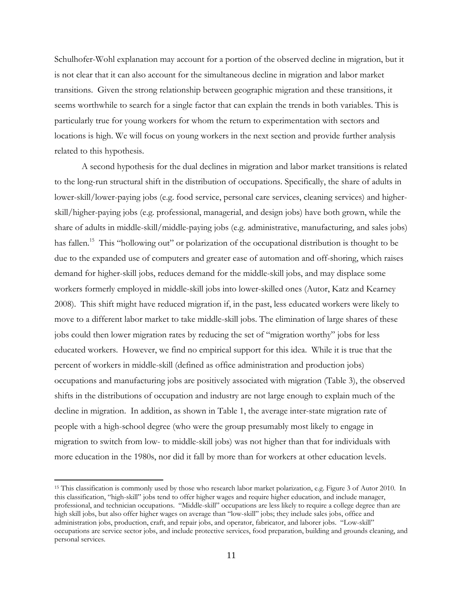Schulhofer-Wohl explanation may account for a portion of the observed decline in migration, but it is not clear that it can also account for the simultaneous decline in migration and labor market transitions. Given the strong relationship between geographic migration and these transitions, it seems worthwhile to search for a single factor that can explain the trends in both variables. This is particularly true for young workers for whom the return to experimentation with sectors and locations is high. We will focus on young workers in the next section and provide further analysis related to this hypothesis.

A second hypothesis for the dual declines in migration and labor market transitions is related to the long-run structural shift in the distribution of occupations. Specifically, the share of adults in lower-skill/lower-paying jobs (e.g. food service, personal care services, cleaning services) and higherskill/higher-paying jobs (e.g. professional, managerial, and design jobs) have both grown, while the share of adults in middle-skill/middle-paying jobs (e.g. administrative, manufacturing, and sales jobs) has fallen.<sup>15</sup> This "hollowing out" or polarization of the occupational distribution is thought to be due to the expanded use of computers and greater ease of automation and off-shoring, which raises demand for higher-skill jobs, reduces demand for the middle-skill jobs, and may displace some workers formerly employed in middle-skill jobs into lower-skilled ones (Autor, Katz and Kearney 2008). This shift might have reduced migration if, in the past, less educated workers were likely to move to a different labor market to take middle-skill jobs. The elimination of large shares of these jobs could then lower migration rates by reducing the set of "migration worthy" jobs for less educated workers. However, we find no empirical support for this idea. While it is true that the percent of workers in middle-skill (defined as office administration and production jobs) occupations and manufacturing jobs are positively associated with migration (Table 3), the observed shifts in the distributions of occupation and industry are not large enough to explain much of the decline in migration. In addition, as shown in Table 1, the average inter-state migration rate of people with a high-school degree (who were the group presumably most likely to engage in migration to switch from low- to middle-skill jobs) was not higher than that for individuals with more education in the 1980s, nor did it fall by more than for workers at other education levels.

<sup>15</sup> This classification is commonly used by those who research labor market polarization, e.g. Figure 3 of Autor 2010. In this classification, "high-skill" jobs tend to offer higher wages and require higher education, and include manager, professional, and technician occupations. "Middle-skill" occupations are less likely to require a college degree than are high skill jobs, but also offer higher wages on average than "low-skill" jobs; they include sales jobs, office and administration jobs, production, craft, and repair jobs, and operator, fabricator, and laborer jobs. "Low-skill" occupations are service sector jobs, and include protective services, food preparation, building and grounds cleaning, and personal services.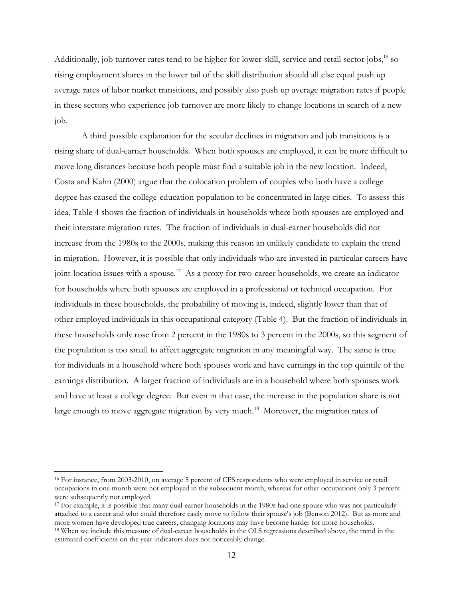Additionally, job turnover rates tend to be higher for lower-skill, service and retail sector jobs,<sup>16</sup> so rising employment shares in the lower tail of the skill distribution should all else equal push up average rates of labor market transitions, and possibly also push up average migration rates if people in these sectors who experience job turnover are more likely to change locations in search of a new job.

A third possible explanation for the secular declines in migration and job transitions is a rising share of dual-earner households. When both spouses are employed, it can be more difficult to move long distances because both people must find a suitable job in the new location. Indeed, Costa and Kahn (2000) argue that the colocation problem of couples who both have a college degree has caused the college-education population to be concentrated in large cities. To assess this idea, Table 4 shows the fraction of individuals in households where both spouses are employed and their interstate migration rates. The fraction of individuals in dual-earner households did not increase from the 1980s to the 2000s, making this reason an unlikely candidate to explain the trend in migration. However, it is possible that only individuals who are invested in particular careers have joint-location issues with a spouse.<sup>17</sup> As a proxy for two-career households, we create an indicator for households where both spouses are employed in a professional or technical occupation. For individuals in these households, the probability of moving is, indeed, slightly lower than that of other employed individuals in this occupational category (Table 4). But the fraction of individuals in these households only rose from 2 percent in the 1980s to 3 percent in the 2000s, so this segment of the population is too small to affect aggregate migration in any meaningful way. The same is true for individuals in a household where both spouses work and have earnings in the top quintile of the earnings distribution. A larger fraction of individuals are in a household where both spouses work and have at least a college degree. But even in that case, the increase in the population share is not large enough to move aggregate migration by very much.<sup>18</sup> Moreover, the migration rates of

 $\overline{a}$ 

<sup>&</sup>lt;sup>16</sup> For instance, from 2003-2010, on average 5 percent of CPS respondents who were employed in service or retail occupations in one month were not employed in the subsequent month, whereas for other occupations only 3 percent were subsequently not employed.<br><sup>17</sup> For example, it is possible that many dual-earner households in the 1980s had one spouse who was not particularly

attached to a career and who could therefore easily move to follow their spouse's job (Benson 2012). But as more and more women have developed true careers, changing locations may have become harder for more households.<br><sup>18</sup> When we include this measure of dual-career households in the OLS regressions described above, the trend in the estimated coefficients on the year indicators does not noticeably change.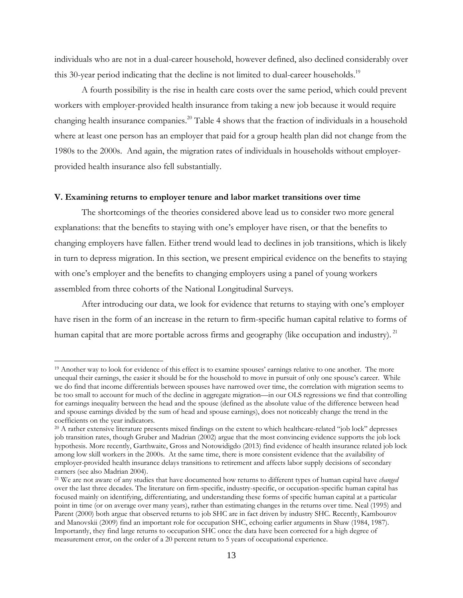individuals who are not in a dual-career household, however defined, also declined considerably over this 30-year period indicating that the decline is not limited to dual-career households.<sup>19</sup>

A fourth possibility is the rise in health care costs over the same period, which could prevent workers with employer-provided health insurance from taking a new job because it would require changing health insurance companies.20 Table 4 shows that the fraction of individuals in a household where at least one person has an employer that paid for a group health plan did not change from the 1980s to the 2000s. And again, the migration rates of individuals in households without employerprovided health insurance also fell substantially.

#### **V. Examining returns to employer tenure and labor market transitions over time**

The shortcomings of the theories considered above lead us to consider two more general explanations: that the benefits to staying with one's employer have risen, or that the benefits to changing employers have fallen. Either trend would lead to declines in job transitions, which is likely in turn to depress migration. In this section, we present empirical evidence on the benefits to staying with one's employer and the benefits to changing employers using a panel of young workers assembled from three cohorts of the National Longitudinal Surveys.

After introducing our data, we look for evidence that returns to staying with one's employer have risen in the form of an increase in the return to firm-specific human capital relative to forms of human capital that are more portable across firms and geography (like occupation and industry). <sup>21</sup>

 $\overline{a}$ 

<sup>19</sup> Another way to look for evidence of this effect is to examine spouses' earnings relative to one another. The more unequal their earnings, the easier it should be for the household to move in pursuit of only one spouse's career. While we do find that income differentials between spouses have narrowed over time, the correlation with migration seems to be too small to account for much of the decline in aggregate migration—in our OLS regressions we find that controlling for earnings inequality between the head and the spouse (defined as the absolute value of the difference between head and spouse earnings divided by the sum of head and spouse earnings), does not noticeably change the trend in the coefficients on the year indicators.

<sup>&</sup>lt;sup>20</sup> A rather extensive literature presents mixed findings on the extent to which healthcare-related "job lock" depresses job transition rates, though Gruber and Madrian (2002) argue that the most convincing evidence supports the job lock hypothesis. More recently, Garthwaite, Gross and Notowidigdo (2013) find evidence of health insurance related job lock among low skill workers in the 2000s. At the same time, there is more consistent evidence that the availability of employer-provided health insurance delays transitions to retirement and affects labor supply decisions of secondary earners (see also Madrian 2004).

<sup>21</sup> We are not aware of any studies that have documented how returns to different types of human capital have *changed* over the last three decades. The literature on firm-specific, industry-specific, or occupation-specific human capital has focused mainly on identifying, differentiating, and understanding these forms of specific human capital at a particular point in time (or on average over many years), rather than estimating changes in the returns over time. Neal (1995) and Parent (2000) both argue that observed returns to job SHC are in fact driven by industry SHC. Recently, Kambourov and Manovskii (2009) find an important role for occupation SHC, echoing earlier arguments in Shaw (1984, 1987). Importantly, they find large returns to occupation SHC once the data have been corrected for a high degree of measurement error, on the order of a 20 percent return to 5 years of occupational experience.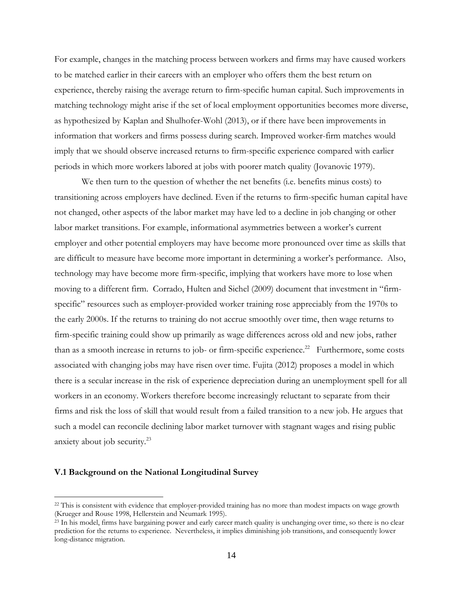For example, changes in the matching process between workers and firms may have caused workers to be matched earlier in their careers with an employer who offers them the best return on experience, thereby raising the average return to firm-specific human capital. Such improvements in matching technology might arise if the set of local employment opportunities becomes more diverse, as hypothesized by Kaplan and Shulhofer-Wohl (2013), or if there have been improvements in information that workers and firms possess during search. Improved worker-firm matches would imply that we should observe increased returns to firm-specific experience compared with earlier periods in which more workers labored at jobs with poorer match quality (Jovanovic 1979).

We then turn to the question of whether the net benefits (i.e. benefits minus costs) to transitioning across employers have declined. Even if the returns to firm-specific human capital have not changed, other aspects of the labor market may have led to a decline in job changing or other labor market transitions. For example, informational asymmetries between a worker's current employer and other potential employers may have become more pronounced over time as skills that are difficult to measure have become more important in determining a worker's performance. Also, technology may have become more firm-specific, implying that workers have more to lose when moving to a different firm. Corrado, Hulten and Sichel (2009) document that investment in "firmspecific" resources such as employer-provided worker training rose appreciably from the 1970s to the early 2000s. If the returns to training do not accrue smoothly over time, then wage returns to firm-specific training could show up primarily as wage differences across old and new jobs, rather than as a smooth increase in returns to job- or firm-specific experience.<sup>22</sup> Furthermore, some costs associated with changing jobs may have risen over time. Fujita (2012) proposes a model in which there is a secular increase in the risk of experience depreciation during an unemployment spell for all workers in an economy. Workers therefore become increasingly reluctant to separate from their firms and risk the loss of skill that would result from a failed transition to a new job. He argues that such a model can reconcile declining labor market turnover with stagnant wages and rising public anxiety about job security.23

#### **V.1 Background on the National Longitudinal Survey**

<sup>&</sup>lt;sup>22</sup> This is consistent with evidence that employer-provided training has no more than modest impacts on wage growth (Krueger and Rouse 1998, Hellerstein and Neumark 1995).<br><sup>23</sup> In his model, firms have bargaining power and early career match quality is unchanging over time, so there is no clear

prediction for the returns to experience. Nevertheless, it implies diminishing job transitions, and consequently lower long-distance migration.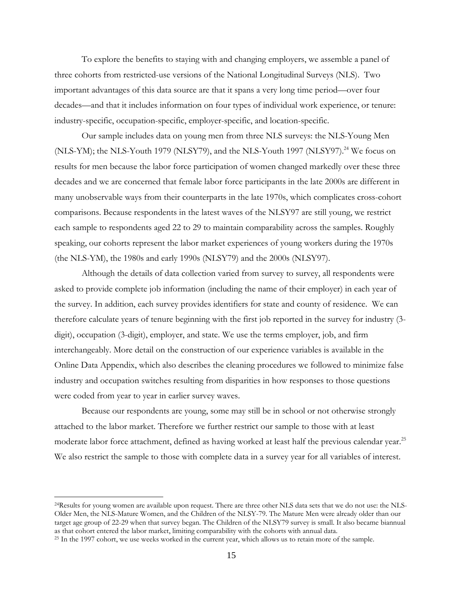To explore the benefits to staying with and changing employers, we assemble a panel of three cohorts from restricted-use versions of the National Longitudinal Surveys (NLS). Two important advantages of this data source are that it spans a very long time period—over four decades—and that it includes information on four types of individual work experience, or tenure: industry-specific, occupation-specific, employer-specific, and location-specific.

Our sample includes data on young men from three NLS surveys: the NLS-Young Men (NLS-YM); the NLS-Youth 1979 (NLSY79), and the NLS-Youth 1997 (NLSY97).<sup>24</sup> We focus on results for men because the labor force participation of women changed markedly over these three decades and we are concerned that female labor force participants in the late 2000s are different in many unobservable ways from their counterparts in the late 1970s, which complicates cross-cohort comparisons. Because respondents in the latest waves of the NLSY97 are still young, we restrict each sample to respondents aged 22 to 29 to maintain comparability across the samples. Roughly speaking, our cohorts represent the labor market experiences of young workers during the 1970s (the NLS-YM), the 1980s and early 1990s (NLSY79) and the 2000s (NLSY97).

Although the details of data collection varied from survey to survey, all respondents were asked to provide complete job information (including the name of their employer) in each year of the survey. In addition, each survey provides identifiers for state and county of residence. We can therefore calculate years of tenure beginning with the first job reported in the survey for industry (3 digit), occupation (3-digit), employer, and state. We use the terms employer, job, and firm interchangeably. More detail on the construction of our experience variables is available in the Online Data Appendix, which also describes the cleaning procedures we followed to minimize false industry and occupation switches resulting from disparities in how responses to those questions were coded from year to year in earlier survey waves.

Because our respondents are young, some may still be in school or not otherwise strongly attached to the labor market. Therefore we further restrict our sample to those with at least moderate labor force attachment, defined as having worked at least half the previous calendar year.<sup>25</sup> We also restrict the sample to those with complete data in a survey year for all variables of interest.

<sup>24</sup>Results for young women are available upon request. There are three other NLS data sets that we do not use: the NLS-Older Men, the NLS-Mature Women, and the Children of the NLSY-79. The Mature Men were already older than our target age group of 22-29 when that survey began. The Children of the NLSY79 survey is small. It also became biannual as that cohort entered the labor market, limiting comparability with the cohorts with annual data.

<sup>&</sup>lt;sup>25</sup> In the 1997 cohort, we use weeks worked in the current year, which allows us to retain more of the sample.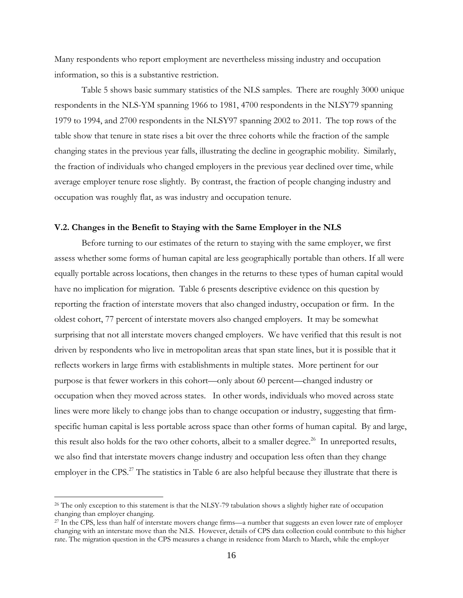Many respondents who report employment are nevertheless missing industry and occupation information, so this is a substantive restriction.

Table 5 shows basic summary statistics of the NLS samples. There are roughly 3000 unique respondents in the NLS-YM spanning 1966 to 1981, 4700 respondents in the NLSY79 spanning 1979 to 1994, and 2700 respondents in the NLSY97 spanning 2002 to 2011. The top rows of the table show that tenure in state rises a bit over the three cohorts while the fraction of the sample changing states in the previous year falls, illustrating the decline in geographic mobility. Similarly, the fraction of individuals who changed employers in the previous year declined over time, while average employer tenure rose slightly. By contrast, the fraction of people changing industry and occupation was roughly flat, as was industry and occupation tenure.

#### **V.2. Changes in the Benefit to Staying with the Same Employer in the NLS**

Before turning to our estimates of the return to staying with the same employer, we first assess whether some forms of human capital are less geographically portable than others. If all were equally portable across locations, then changes in the returns to these types of human capital would have no implication for migration. Table 6 presents descriptive evidence on this question by reporting the fraction of interstate movers that also changed industry, occupation or firm. In the oldest cohort, 77 percent of interstate movers also changed employers. It may be somewhat surprising that not all interstate movers changed employers. We have verified that this result is not driven by respondents who live in metropolitan areas that span state lines, but it is possible that it reflects workers in large firms with establishments in multiple states. More pertinent for our purpose is that fewer workers in this cohort—only about 60 percent—changed industry or occupation when they moved across states. In other words, individuals who moved across state lines were more likely to change jobs than to change occupation or industry, suggesting that firmspecific human capital is less portable across space than other forms of human capital. By and large, this result also holds for the two other cohorts, albeit to a smaller degree.<sup>26</sup> In unreported results, we also find that interstate movers change industry and occupation less often than they change employer in the CPS.<sup>27</sup> The statistics in Table 6 are also helpful because they illustrate that there is

 $\overline{a}$ 

<sup>&</sup>lt;sup>26</sup> The only exception to this statement is that the NLSY-79 tabulation shows a slightly higher rate of occupation changing than employer changing.

<sup>27</sup> In the CPS, less than half of interstate movers change firms—a number that suggests an even lower rate of employer changing with an interstate move than the NLS. However, details of CPS data collection could contribute to this higher rate. The migration question in the CPS measures a change in residence from March to March, while the employer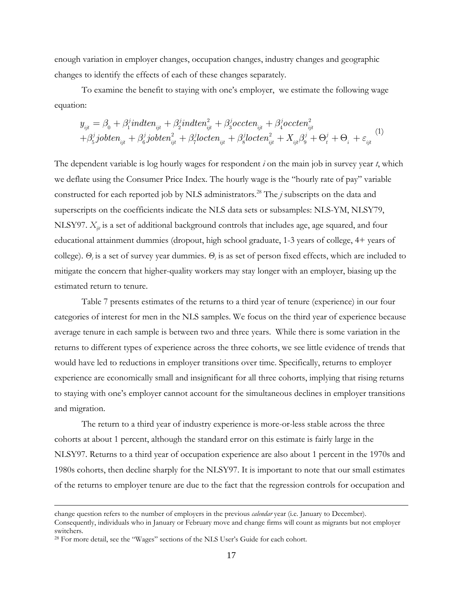enough variation in employer changes, occupation changes, industry changes and geographic changes to identify the effects of each of these changes separately.

To examine the benefit to staying with one's employer, we estimate the following wage equation:

$$
y_{ijt} = \beta_0 + \beta_1^j indten_{ijt} + \beta_2^j indten_{ijt}^2 + \beta_3^j occten_{ijt} + \beta_4^j occten_{ijt}^2
$$
  
+
$$
\beta_5^j jobten_{ijt} + \beta_6^j jobten_{ijt}^2 + \beta_7^j locten_{ijt} + \beta_8^j locten_{ijt}^2 + X_{ijt}\beta_9^j + \Theta_t^j + \Theta_i + \varepsilon_{ijt}^{(1)}
$$

The dependent variable is log hourly wages for respondent *i* on the main job in survey year *t*, which we deflate using the Consumer Price Index. The hourly wage is the "hourly rate of pay" variable constructed for each reported job by NLS administrators.28 The *j* subscripts on the data and superscripts on the coefficients indicate the NLS data sets or subsamples: NLS-YM, NLSY79, NLSY97.  $X_{ij}$  is a set of additional background controls that includes age, age squared, and four educational attainment dummies (dropout, high school graduate, 1-3 years of college, 4+ years of college). *Θ<sup>t</sup>* is a set of survey year dummies. *Θi* is as set of person fixed effects, which are included to mitigate the concern that higher-quality workers may stay longer with an employer, biasing up the estimated return to tenure.

 Table 7 presents estimates of the returns to a third year of tenure (experience) in our four categories of interest for men in the NLS samples. We focus on the third year of experience because average tenure in each sample is between two and three years. While there is some variation in the returns to different types of experience across the three cohorts, we see little evidence of trends that would have led to reductions in employer transitions over time. Specifically, returns to employer experience are economically small and insignificant for all three cohorts, implying that rising returns to staying with one's employer cannot account for the simultaneous declines in employer transitions and migration.

The return to a third year of industry experience is more-or-less stable across the three cohorts at about 1 percent, although the standard error on this estimate is fairly large in the NLSY97. Returns to a third year of occupation experience are also about 1 percent in the 1970s and 1980s cohorts, then decline sharply for the NLSY97. It is important to note that our small estimates of the returns to employer tenure are due to the fact that the regression controls for occupation and

Consequently, individuals who in January or February move and change firms will count as migrants but not employer switchers.

 $\overline{a}$ 

change question refers to the number of employers in the previous *calendar* year (i.e. January to December).

<sup>&</sup>lt;sup>28</sup> For more detail, see the "Wages" sections of the NLS User's Guide for each cohort.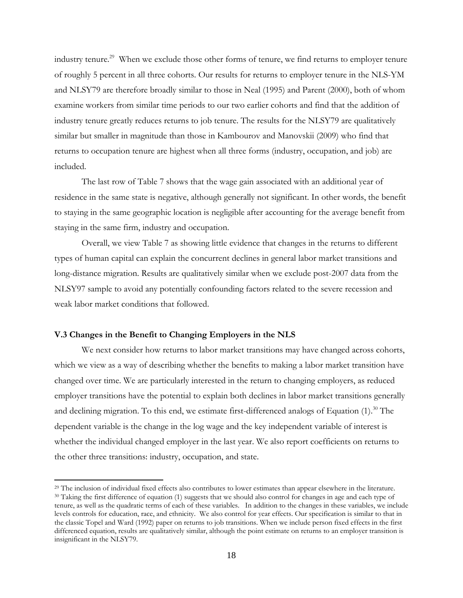industry tenure.<sup>29</sup> When we exclude those other forms of tenure, we find returns to employer tenure of roughly 5 percent in all three cohorts. Our results for returns to employer tenure in the NLS-YM and NLSY79 are therefore broadly similar to those in Neal (1995) and Parent (2000), both of whom examine workers from similar time periods to our two earlier cohorts and find that the addition of industry tenure greatly reduces returns to job tenure. The results for the NLSY79 are qualitatively similar but smaller in magnitude than those in Kambourov and Manovskii (2009) who find that returns to occupation tenure are highest when all three forms (industry, occupation, and job) are included.

The last row of Table 7 shows that the wage gain associated with an additional year of residence in the same state is negative, although generally not significant. In other words, the benefit to staying in the same geographic location is negligible after accounting for the average benefit from staying in the same firm, industry and occupation.

Overall, we view Table 7 as showing little evidence that changes in the returns to different types of human capital can explain the concurrent declines in general labor market transitions and long-distance migration. Results are qualitatively similar when we exclude post-2007 data from the NLSY97 sample to avoid any potentially confounding factors related to the severe recession and weak labor market conditions that followed.

#### **V.3 Changes in the Benefit to Changing Employers in the NLS**

1

 We next consider how returns to labor market transitions may have changed across cohorts, which we view as a way of describing whether the benefits to making a labor market transition have changed over time. We are particularly interested in the return to changing employers, as reduced employer transitions have the potential to explain both declines in labor market transitions generally and declining migration. To this end, we estimate first-differenced analogs of Equation  $(1)$ <sup>30</sup> The dependent variable is the change in the log wage and the key independent variable of interest is whether the individual changed employer in the last year. We also report coefficients on returns to the other three transitions: industry, occupation, and state.

 $^{29}$  The inclusion of individual fixed effects also contributes to lower estimates than appear elsewhere in the literature.<br><sup>30</sup> Taking the first difference of equation (1) suggests that we should also control for chang tenure, as well as the quadratic terms of each of these variables. In addition to the changes in these variables, we include levels controls for education, race, and ethnicity. We also control for year effects. Our specification is similar to that in the classic Topel and Ward (1992) paper on returns to job transitions. When we include person fixed effects in the first differenced equation, results are qualitatively similar, although the point estimate on returns to an employer transition is insignificant in the NLSY79.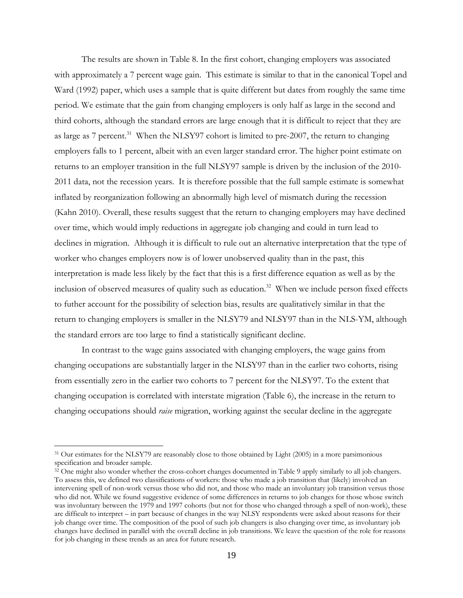The results are shown in Table 8. In the first cohort, changing employers was associated with approximately a 7 percent wage gain. This estimate is similar to that in the canonical Topel and Ward (1992) paper, which uses a sample that is quite different but dates from roughly the same time period. We estimate that the gain from changing employers is only half as large in the second and third cohorts, although the standard errors are large enough that it is difficult to reject that they are as large as 7 percent.<sup>31</sup> When the NLSY97 cohort is limited to pre-2007, the return to changing employers falls to 1 percent, albeit with an even larger standard error. The higher point estimate on returns to an employer transition in the full NLSY97 sample is driven by the inclusion of the 2010- 2011 data, not the recession years. It is therefore possible that the full sample estimate is somewhat inflated by reorganization following an abnormally high level of mismatch during the recession (Kahn 2010). Overall, these results suggest that the return to changing employers may have declined over time, which would imply reductions in aggregate job changing and could in turn lead to declines in migration. Although it is difficult to rule out an alternative interpretation that the type of worker who changes employers now is of lower unobserved quality than in the past, this interpretation is made less likely by the fact that this is a first difference equation as well as by the inclusion of observed measures of quality such as education.<sup>32</sup> When we include person fixed effects to futher account for the possibility of selection bias, results are qualitatively similar in that the return to changing employers is smaller in the NLSY79 and NLSY97 than in the NLS-YM, although the standard errors are too large to find a statistically significant decline.

In contrast to the wage gains associated with changing employers, the wage gains from changing occupations are substantially larger in the NLSY97 than in the earlier two cohorts, rising from essentially zero in the earlier two cohorts to 7 percent for the NLSY97. To the extent that changing occupation is correlated with interstate migration (Table 6), the increase in the return to changing occupations should *raise* migration, working against the secular decline in the aggregate

 $\overline{a}$ 

<sup>&</sup>lt;sup>31</sup> Our estimates for the NLSY79 are reasonably close to those obtained by Light (2005) in a more parsimonious specification and broader sample.

 $32$  One might also wonder whether the cross-cohort changes documented in Table 9 apply similarly to all job changers. To assess this, we defined two classifications of workers: those who made a job transition that (likely) involved an intervening spell of non-work versus those who did not, and those who made an involuntary job transition versus those who did not. While we found suggestive evidence of some differences in returns to job changes for those whose switch was involuntary between the 1979 and 1997 cohorts (but not for those who changed through a spell of non-work), these are difficult to interpret – in part because of changes in the way NLSY respondents were asked about reasons for their job change over time. The composition of the pool of such job changers is also changing over time, as involuntary job changes have declined in parallel with the overall decline in job transitions. We leave the question of the role for reasons for job changing in these trends as an area for future research.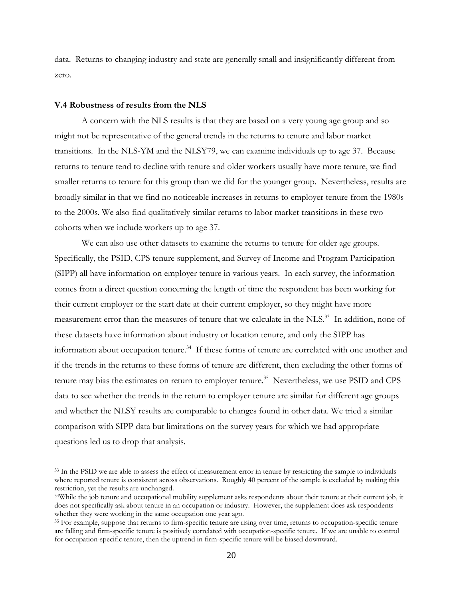data. Returns to changing industry and state are generally small and insignificantly different from zero.

#### **V.4 Robustness of results from the NLS**

 $\overline{a}$ 

 A concern with the NLS results is that they are based on a very young age group and so might not be representative of the general trends in the returns to tenure and labor market transitions. In the NLS-YM and the NLSY79, we can examine individuals up to age 37. Because returns to tenure tend to decline with tenure and older workers usually have more tenure, we find smaller returns to tenure for this group than we did for the younger group. Nevertheless, results are broadly similar in that we find no noticeable increases in returns to employer tenure from the 1980s to the 2000s. We also find qualitatively similar returns to labor market transitions in these two cohorts when we include workers up to age 37.

We can also use other datasets to examine the returns to tenure for older age groups. Specifically, the PSID, CPS tenure supplement, and Survey of Income and Program Participation (SIPP) all have information on employer tenure in various years. In each survey, the information comes from a direct question concerning the length of time the respondent has been working for their current employer or the start date at their current employer, so they might have more measurement error than the measures of tenure that we calculate in the NLS.<sup>33</sup> In addition, none of these datasets have information about industry or location tenure, and only the SIPP has information about occupation tenure.<sup>34</sup> If these forms of tenure are correlated with one another and if the trends in the returns to these forms of tenure are different, then excluding the other forms of tenure may bias the estimates on return to employer tenure.<sup>35</sup> Nevertheless, we use PSID and CPS data to see whether the trends in the return to employer tenure are similar for different age groups and whether the NLSY results are comparable to changes found in other data. We tried a similar comparison with SIPP data but limitations on the survey years for which we had appropriate questions led us to drop that analysis.

<sup>&</sup>lt;sup>33</sup> In the PSID we are able to assess the effect of measurement error in tenure by restricting the sample to individuals where reported tenure is consistent across observations. Roughly 40 percent of the sample is excluded by making this restriction, yet the results are unchanged.

<sup>34</sup>While the job tenure and occupational mobility supplement asks respondents about their tenure at their current job, it does not specifically ask about tenure in an occupation or industry. However, the supplement does ask respondents whether they were working in the same occupation one year ago.

<sup>&</sup>lt;sup>35</sup> For example, suppose that returns to firm-specific tenure are rising over time, returns to occupation-specific tenure are falling and firm-specific tenure is positively correlated with occupation-specific tenure. If we are unable to control for occupation-specific tenure, then the uptrend in firm-specific tenure will be biased downward.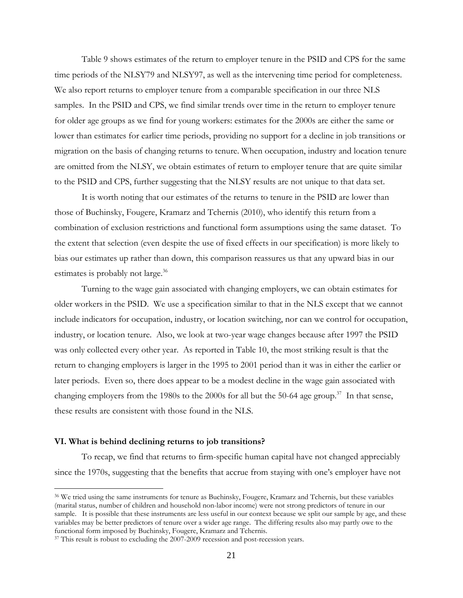Table 9 shows estimates of the return to employer tenure in the PSID and CPS for the same time periods of the NLSY79 and NLSY97, as well as the intervening time period for completeness. We also report returns to employer tenure from a comparable specification in our three NLS samples. In the PSID and CPS, we find similar trends over time in the return to employer tenure for older age groups as we find for young workers: estimates for the 2000s are either the same or lower than estimates for earlier time periods, providing no support for a decline in job transitions or migration on the basis of changing returns to tenure. When occupation, industry and location tenure are omitted from the NLSY, we obtain estimates of return to employer tenure that are quite similar to the PSID and CPS, further suggesting that the NLSY results are not unique to that data set.

It is worth noting that our estimates of the returns to tenure in the PSID are lower than those of Buchinsky, Fougere, Kramarz and Tchernis (2010), who identify this return from a combination of exclusion restrictions and functional form assumptions using the same dataset. To the extent that selection (even despite the use of fixed effects in our specification) is more likely to bias our estimates up rather than down, this comparison reassures us that any upward bias in our estimates is probably not large.<sup>36</sup>

Turning to the wage gain associated with changing employers, we can obtain estimates for older workers in the PSID. We use a specification similar to that in the NLS except that we cannot include indicators for occupation, industry, or location switching, nor can we control for occupation, industry, or location tenure. Also, we look at two-year wage changes because after 1997 the PSID was only collected every other year. As reported in Table 10, the most striking result is that the return to changing employers is larger in the 1995 to 2001 period than it was in either the earlier or later periods. Even so, there does appear to be a modest decline in the wage gain associated with changing employers from the 1980s to the 2000s for all but the 50-64 age group.<sup>37</sup> In that sense, these results are consistent with those found in the NLS.

#### **VI. What is behind declining returns to job transitions?**

 $\overline{a}$ 

 To recap, we find that returns to firm-specific human capital have not changed appreciably since the 1970s, suggesting that the benefits that accrue from staying with one's employer have not

<sup>36</sup> We tried using the same instruments for tenure as Buchinsky, Fougere, Kramarz and Tchernis, but these variables (marital status, number of children and household non-labor income) were not strong predictors of tenure in our sample. It is possible that these instruments are less useful in our context because we split our sample by age, and these variables may be better predictors of tenure over a wider age range. The differing results also may partly owe to the functional form imposed by Buchinsky, Fougere, Kramarz and Tchernis.<br><sup>37</sup> This result is robust to excluding the 2007-2009 recession and post-recession years.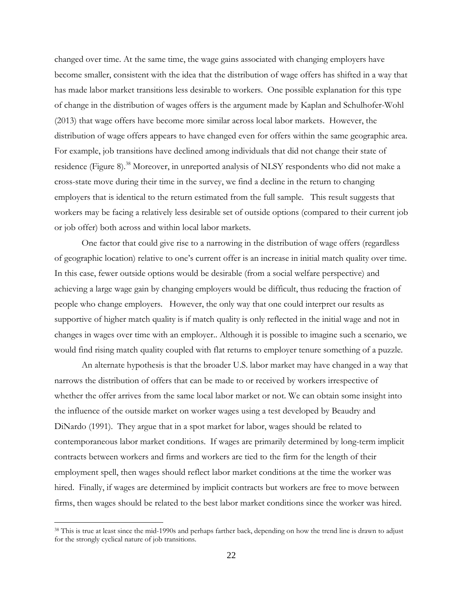changed over time. At the same time, the wage gains associated with changing employers have become smaller, consistent with the idea that the distribution of wage offers has shifted in a way that has made labor market transitions less desirable to workers. One possible explanation for this type of change in the distribution of wages offers is the argument made by Kaplan and Schulhofer-Wohl (2013) that wage offers have become more similar across local labor markets. However, the distribution of wage offers appears to have changed even for offers within the same geographic area. For example, job transitions have declined among individuals that did not change their state of residence (Figure 8).<sup>38</sup> Moreover, in unreported analysis of NLSY respondents who did not make a cross-state move during their time in the survey, we find a decline in the return to changing employers that is identical to the return estimated from the full sample. This result suggests that workers may be facing a relatively less desirable set of outside options (compared to their current job or job offer) both across and within local labor markets.

One factor that could give rise to a narrowing in the distribution of wage offers (regardless of geographic location) relative to one's current offer is an increase in initial match quality over time. In this case, fewer outside options would be desirable (from a social welfare perspective) and achieving a large wage gain by changing employers would be difficult, thus reducing the fraction of people who change employers. However, the only way that one could interpret our results as supportive of higher match quality is if match quality is only reflected in the initial wage and not in changes in wages over time with an employer.. Although it is possible to imagine such a scenario, we would find rising match quality coupled with flat returns to employer tenure something of a puzzle.

An alternate hypothesis is that the broader U.S. labor market may have changed in a way that narrows the distribution of offers that can be made to or received by workers irrespective of whether the offer arrives from the same local labor market or not. We can obtain some insight into the influence of the outside market on worker wages using a test developed by Beaudry and DiNardo (1991). They argue that in a spot market for labor, wages should be related to contemporaneous labor market conditions. If wages are primarily determined by long-term implicit contracts between workers and firms and workers are tied to the firm for the length of their employment spell, then wages should reflect labor market conditions at the time the worker was hired. Finally, if wages are determined by implicit contracts but workers are free to move between firms, then wages should be related to the best labor market conditions since the worker was hired.

<sup>&</sup>lt;sup>38</sup> This is true at least since the mid-1990s and perhaps farther back, depending on how the trend line is drawn to adjust for the strongly cyclical nature of job transitions.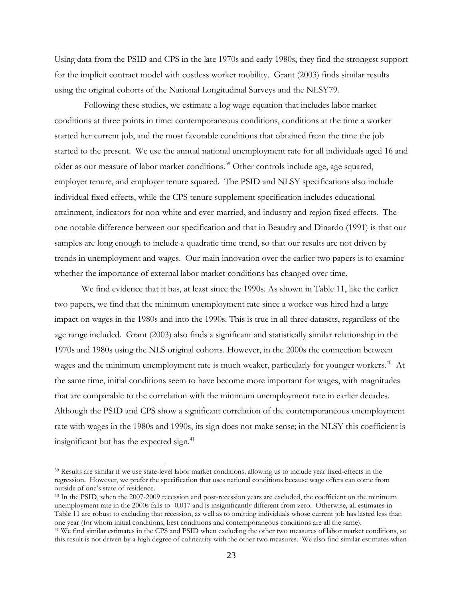Using data from the PSID and CPS in the late 1970s and early 1980s, they find the strongest support for the implicit contract model with costless worker mobility. Grant (2003) finds similar results using the original cohorts of the National Longitudinal Surveys and the NLSY79.

 Following these studies, we estimate a log wage equation that includes labor market conditions at three points in time: contemporaneous conditions, conditions at the time a worker started her current job, and the most favorable conditions that obtained from the time the job started to the present. We use the annual national unemployment rate for all individuals aged 16 and older as our measure of labor market conditions.<sup>39</sup> Other controls include age, age squared, employer tenure, and employer tenure squared. The PSID and NLSY specifications also include individual fixed effects, while the CPS tenure supplement specification includes educational attainment, indicators for non-white and ever-married, and industry and region fixed effects. The one notable difference between our specification and that in Beaudry and Dinardo (1991) is that our samples are long enough to include a quadratic time trend, so that our results are not driven by trends in unemployment and wages. Our main innovation over the earlier two papers is to examine whether the importance of external labor market conditions has changed over time.

 We find evidence that it has, at least since the 1990s. As shown in Table 11, like the earlier two papers, we find that the minimum unemployment rate since a worker was hired had a large impact on wages in the 1980s and into the 1990s. This is true in all three datasets, regardless of the age range included. Grant (2003) also finds a significant and statistically similar relationship in the 1970s and 1980s using the NLS original cohorts. However, in the 2000s the connection between wages and the minimum unemployment rate is much weaker, particularly for younger workers.<sup>40</sup> At the same time, initial conditions seem to have become more important for wages, with magnitudes that are comparable to the correlation with the minimum unemployment rate in earlier decades. Although the PSID and CPS show a significant correlation of the contemporaneous unemployment rate with wages in the 1980s and 1990s, its sign does not make sense; in the NLSY this coefficient is insignificant but has the expected sign.<sup>41</sup>

 $\overline{a}$ 

<sup>39</sup> Results are similar if we use state-level labor market conditions, allowing us to include year fixed-effects in the regression. However, we prefer the specification that uses national conditions because wage offers can come from outside of one's state of residence.

<sup>40</sup> In the PSID, when the 2007-2009 recession and post-recession years are excluded, the coefficient on the minimum unemployment rate in the 2000s falls to -0.017 and is insignificantly different from zero. Otherwise, all estimates in Table 11 are robust to excluding that recession, as well as to omitting individuals whose current job has lasted less than one year (for whom initial conditions, best conditions and contemporaneous conditions are all the same). 41 We find similar estimates in the CPS and PSID when excluding the other two measures of labor market conditions, so

this result is not driven by a high degree of colinearity with the other two measures. We also find similar estimates when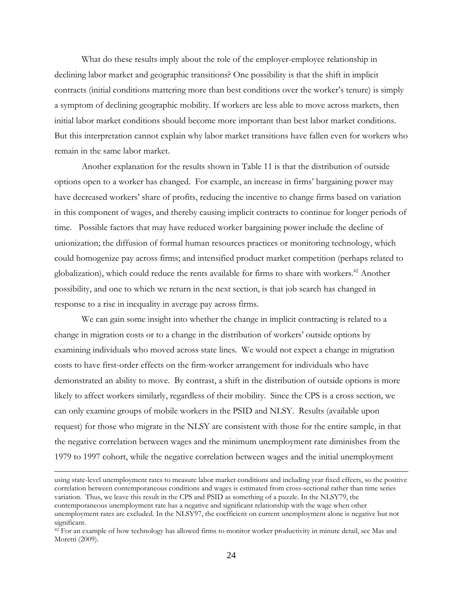What do these results imply about the role of the employer-employee relationship in declining labor market and geographic transitions? One possibility is that the shift in implicit contracts (initial conditions mattering more than best conditions over the worker's tenure) is simply a symptom of declining geographic mobility. If workers are less able to move across markets, then initial labor market conditions should become more important than best labor market conditions. But this interpretation cannot explain why labor market transitions have fallen even for workers who remain in the same labor market.

Another explanation for the results shown in Table 11 is that the distribution of outside options open to a worker has changed. For example, an increase in firms' bargaining power may have decreased workers' share of profits, reducing the incentive to change firms based on variation in this component of wages, and thereby causing implicit contracts to continue for longer periods of time. Possible factors that may have reduced worker bargaining power include the decline of unionization; the diffusion of formal human resources practices or monitoring technology, which could homogenize pay across firms; and intensified product market competition (perhaps related to globalization), which could reduce the rents available for firms to share with workers.<sup>42</sup> Another possibility, and one to which we return in the next section, is that job search has changed in response to a rise in inequality in average pay across firms.

We can gain some insight into whether the change in implicit contracting is related to a change in migration costs or to a change in the distribution of workers' outside options by examining individuals who moved across state lines. We would not expect a change in migration costs to have first-order effects on the firm-worker arrangement for individuals who have demonstrated an ability to move. By contrast, a shift in the distribution of outside options is more likely to affect workers similarly, regardless of their mobility. Since the CPS is a cross section, we can only examine groups of mobile workers in the PSID and NLSY. Results (available upon request) for those who migrate in the NLSY are consistent with those for the entire sample, in that the negative correlation between wages and the minimum unemployment rate diminishes from the 1979 to 1997 cohort, while the negative correlation between wages and the initial unemployment

 $\overline{a}$ 

using state-level unemployment rates to measure labor market conditions and including year fixed effects, so the positive correlation between contemporaneous conditions and wages is estimated from cross-sectional rather than time series variation. Thus, we leave this result in the CPS and PSID as something of a puzzle. In the NLSY79, the contemporaneous unemployment rate has a negative and significant relationship with the wage when other unemployment rates are excluded. In the NLSY97, the coefficient on current unemployment alone is negative but not significant.

<sup>&</sup>lt;sup>42</sup> For an example of how technology has allowed firms to monitor worker productivity in minute detail, see Mas and Moretti (2009).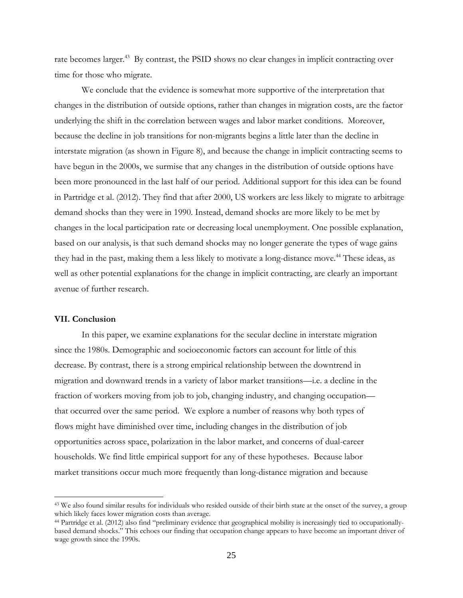rate becomes larger.<sup>43</sup> By contrast, the PSID shows no clear changes in implicit contracting over time for those who migrate.

We conclude that the evidence is somewhat more supportive of the interpretation that changes in the distribution of outside options, rather than changes in migration costs, are the factor underlying the shift in the correlation between wages and labor market conditions. Moreover, because the decline in job transitions for non-migrants begins a little later than the decline in interstate migration (as shown in Figure 8), and because the change in implicit contracting seems to have begun in the 2000s, we surmise that any changes in the distribution of outside options have been more pronounced in the last half of our period. Additional support for this idea can be found in Partridge et al. (2012). They find that after 2000, US workers are less likely to migrate to arbitrage demand shocks than they were in 1990. Instead, demand shocks are more likely to be met by changes in the local participation rate or decreasing local unemployment. One possible explanation, based on our analysis, is that such demand shocks may no longer generate the types of wage gains they had in the past, making them a less likely to motivate a long-distance move.<sup>44</sup> These ideas, as well as other potential explanations for the change in implicit contracting, are clearly an important avenue of further research.

#### **VII. Conclusion**

 $\overline{a}$ 

In this paper, we examine explanations for the secular decline in interstate migration since the 1980s. Demographic and socioeconomic factors can account for little of this decrease. By contrast, there is a strong empirical relationship between the downtrend in migration and downward trends in a variety of labor market transitions—i.e. a decline in the fraction of workers moving from job to job, changing industry, and changing occupation that occurred over the same period. We explore a number of reasons why both types of flows might have diminished over time, including changes in the distribution of job opportunities across space, polarization in the labor market, and concerns of dual-career households. We find little empirical support for any of these hypotheses. Because labor market transitions occur much more frequently than long-distance migration and because

<sup>&</sup>lt;sup>43</sup> We also found similar results for individuals who resided outside of their birth state at the onset of the survey, a group which likely faces lower migration costs than average.<br><sup>44</sup> Partridge et al. (2012) also find "preliminary evidence that geographical mobility is increasingly tied to occupationally-

based demand shocks." This echoes our finding that occupation change appears to have become an important driver of wage growth since the 1990s.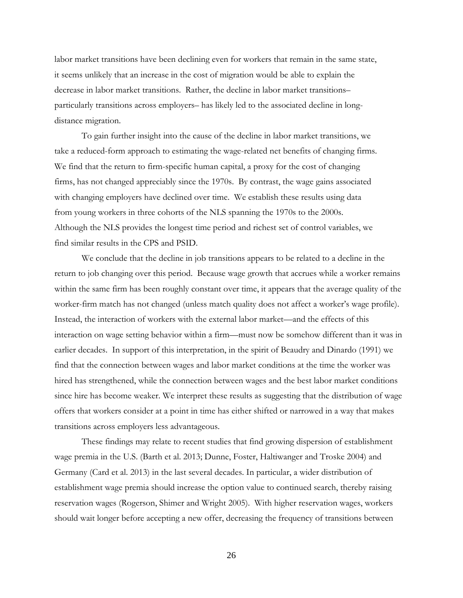labor market transitions have been declining even for workers that remain in the same state, it seems unlikely that an increase in the cost of migration would be able to explain the decrease in labor market transitions. Rather, the decline in labor market transitions– particularly transitions across employers– has likely led to the associated decline in longdistance migration.

To gain further insight into the cause of the decline in labor market transitions, we take a reduced-form approach to estimating the wage-related net benefits of changing firms. We find that the return to firm-specific human capital, a proxy for the cost of changing firms, has not changed appreciably since the 1970s. By contrast, the wage gains associated with changing employers have declined over time. We establish these results using data from young workers in three cohorts of the NLS spanning the 1970s to the 2000s. Although the NLS provides the longest time period and richest set of control variables, we find similar results in the CPS and PSID.

We conclude that the decline in job transitions appears to be related to a decline in the return to job changing over this period. Because wage growth that accrues while a worker remains within the same firm has been roughly constant over time, it appears that the average quality of the worker-firm match has not changed (unless match quality does not affect a worker's wage profile). Instead, the interaction of workers with the external labor market—and the effects of this interaction on wage setting behavior within a firm—must now be somehow different than it was in earlier decades. In support of this interpretation, in the spirit of Beaudry and Dinardo (1991) we find that the connection between wages and labor market conditions at the time the worker was hired has strengthened, while the connection between wages and the best labor market conditions since hire has become weaker. We interpret these results as suggesting that the distribution of wage offers that workers consider at a point in time has either shifted or narrowed in a way that makes transitions across employers less advantageous.

 These findings may relate to recent studies that find growing dispersion of establishment wage premia in the U.S. (Barth et al. 2013; Dunne, Foster, Haltiwanger and Troske 2004) and Germany (Card et al. 2013) in the last several decades. In particular, a wider distribution of establishment wage premia should increase the option value to continued search, thereby raising reservation wages (Rogerson, Shimer and Wright 2005). With higher reservation wages, workers should wait longer before accepting a new offer, decreasing the frequency of transitions between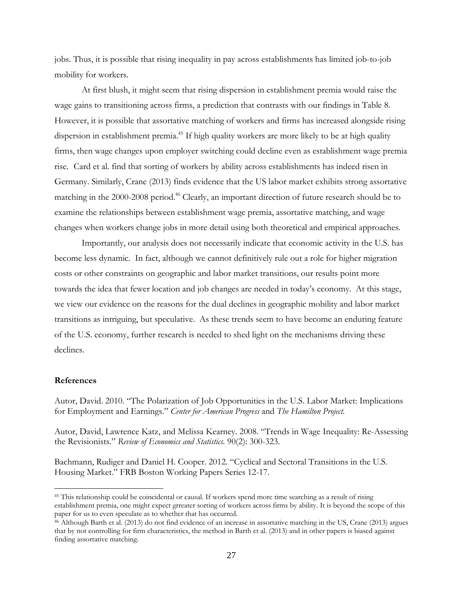jobs. Thus, it is possible that rising inequality in pay across establishments has limited job-to-job mobility for workers.

At first blush, it might seem that rising dispersion in establishment premia would raise the wage gains to transitioning across firms, a prediction that contrasts with our findings in Table 8. However, it is possible that assortative matching of workers and firms has increased alongside rising dispersion in establishment premia.<sup>45</sup> If high quality workers are more likely to be at high quality firms, then wage changes upon employer switching could decline even as establishment wage premia rise. Card et al. find that sorting of workers by ability across establishments has indeed risen in Germany. Similarly, Crane (2013) finds evidence that the US labor market exhibits strong assortative matching in the 2000-2008 period.<sup>46</sup> Clearly, an important direction of future research should be to examine the relationships between establishment wage premia, assortative matching, and wage changes when workers change jobs in more detail using both theoretical and empirical approaches.

Importantly, our analysis does not necessarily indicate that economic activity in the U.S. has become less dynamic. In fact, although we cannot definitively rule out a role for higher migration costs or other constraints on geographic and labor market transitions, our results point more towards the idea that fewer location and job changes are needed in today's economy. At this stage, we view our evidence on the reasons for the dual declines in geographic mobility and labor market transitions as intriguing, but speculative. As these trends seem to have become an enduring feature of the U.S. economy, further research is needed to shed light on the mechanisms driving these declines.

#### **References**

 $\overline{a}$ 

Autor, David. 2010. "The Polarization of Job Opportunities in the U.S. Labor Market: Implications for Employment and Earnings." *Center for American Progress* and *The Hamilton Project.* 

Autor, David, Lawrence Katz, and Melissa Kearney. 2008. "Trends in Wage Inequality: Re-Assessing the Revisionists." *Review of Economics and Statistics.* 90(2): 300-323.

Bachmann, Rudiger and Daniel H. Cooper. 2012. "Cyclical and Sectoral Transitions in the U.S. Housing Market." FRB Boston Working Papers Series 12-17.

<sup>&</sup>lt;sup>45</sup> This relationship could be coincidental or causal. If workers spend more time searching as a result of rising establishment premia, one might expect grreater sorting of workers across firms by ability. It is beyond the scope of this

 $46$  Although Barth et al. (2013) do not find evidence of an increase in assortative matching in the US, Crane (2013) argues that by not controlling for firm characteristics, the method in Barth et al. (2013) and in other papers is biased against finding assortative matching.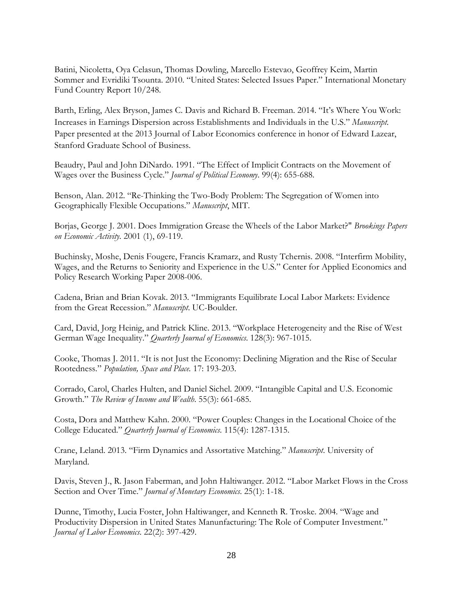Batini, Nicoletta, Oya Celasun, Thomas Dowling, Marcello Estevao, Geoffrey Keim, Martin Sommer and Evridiki Tsounta. 2010. "United States: Selected Issues Paper." International Monetary Fund Country Report 10/248.

Barth, Erling, Alex Bryson, James C. Davis and Richard B. Freeman. 2014. "It's Where You Work: Increases in Earnings Dispersion across Establishments and Individuals in the U.S." *Manuscript*. Paper presented at the 2013 Journal of Labor Economics conference in honor of Edward Lazear, Stanford Graduate School of Business.

Beaudry, Paul and John DiNardo. 1991. "The Effect of Implicit Contracts on the Movement of Wages over the Business Cycle." *Journal of Political Economy*. 99(4): 655-688.

Benson, Alan. 2012. "Re-Thinking the Two-Body Problem: The Segregation of Women into Geographically Flexible Occupations." *Manuscript*, MIT.

Borjas, George J. 2001. Does Immigration Grease the Wheels of the Labor Market?" *Brookings Papers on Economic Activity.* 2001 (1), 69-119.

Buchinsky, Moshe, Denis Fougere, Francis Kramarz, and Rusty Tchernis. 2008. "Interfirm Mobility, Wages, and the Returns to Seniority and Experience in the U.S." Center for Applied Economics and Policy Research Working Paper 2008-006.

Cadena, Brian and Brian Kovak. 2013. "Immigrants Equilibrate Local Labor Markets: Evidence from the Great Recession." *Manuscript*. UC-Boulder.

Card, David, Jorg Heinig, and Patrick Kline. 2013. "Workplace Heterogeneity and the Rise of West German Wage Inequality." *Quarterly Journal of Economics*. 128(3): 967-1015.

Cooke, Thomas J. 2011. "It is not Just the Economy: Declining Migration and the Rise of Secular Rootedness." *Population, Space and Place.* 17: 193-203.

Corrado, Carol, Charles Hulten, and Daniel Sichel. 2009. "Intangible Capital and U.S. Economic Growth." *The Review of Income and Wealth*. 55(3): 661-685.

Costa, Dora and Matthew Kahn. 2000. "Power Couples: Changes in the Locational Choice of the College Educated." *Quarterly Journal of Economics*. 115(4): 1287-1315.

Crane, Leland. 2013. "Firm Dynamics and Assortative Matching." *Manuscript*. University of Maryland.

Davis, Steven J., R. Jason Faberman, and John Haltiwanger. 2012. "Labor Market Flows in the Cross Section and Over Time." *Journal of Monetary Economics*. 25(1): 1-18.

Dunne, Timothy, Lucia Foster, John Haltiwanger, and Kenneth R. Troske. 2004. "Wage and Productivity Dispersion in United States Manunfacturing: The Role of Computer Investment." *Journal of Labor Economics*. 22(2): 397-429.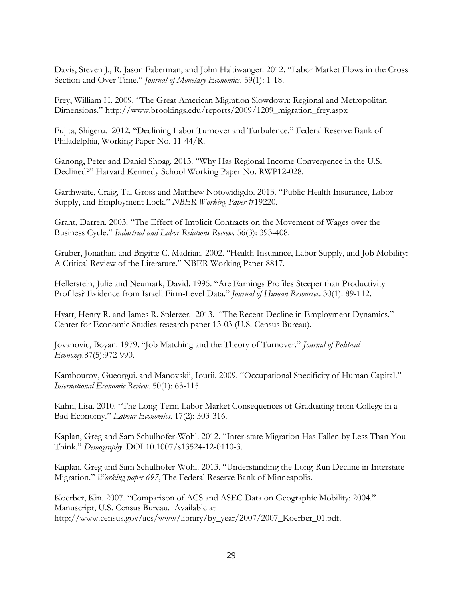Davis, Steven J., R. Jason Faberman, and John Haltiwanger. 2012. "Labor Market Flows in the Cross Section and Over Time." *Journal of Monetary Economics*. 59(1): 1-18.

Frey, William H. 2009. "The Great American Migration Slowdown: Regional and Metropolitan Dimensions." http://www.brookings.edu/reports/2009/1209\_migration\_frey.aspx

Fujita, Shigeru. 2012. "Declining Labor Turnover and Turbulence." Federal Reserve Bank of Philadelphia, Working Paper No. 11-44/R.

Ganong, Peter and Daniel Shoag. 2013. "Why Has Regional Income Convergence in the U.S. Declined?" Harvard Kennedy School Working Paper No. RWP12-028.

Garthwaite, Craig, Tal Gross and Matthew Notowidigdo. 2013. "Public Health Insurance, Labor Supply, and Employment Lock." *NBER Working Paper* #19220.

Grant, Darren. 2003. "The Effect of Implicit Contracts on the Movement of Wages over the Business Cycle." *Industrial and Labor Relations Review*. 56(3): 393-408.

Gruber, Jonathan and Brigitte C. Madrian. 2002. "Health Insurance, Labor Supply, and Job Mobility: A Critical Review of the Literature." NBER Working Paper 8817.

Hellerstein, Julie and Neumark, David. 1995. "Are Earnings Profiles Steeper than Productivity Profiles? Evidence from Israeli Firm-Level Data." *Journal of Human Resources*. 30(1): 89-112.

Hyatt, Henry R. and James R. Spletzer. 2013. "The Recent Decline in Employment Dynamics." Center for Economic Studies research paper 13-03 (U.S. Census Bureau).

Jovanovic, Boyan. 1979. "Job Matching and the Theory of Turnover." *Journal of Political Economy.*87(5):972-990.

Kambourov, Gueorgui. and Manovskii, Iourii. 2009. "Occupational Specificity of Human Capital." *International Economic Review*. 50(1): 63-115.

Kahn, Lisa. 2010. "The Long-Term Labor Market Consequences of Graduating from College in a Bad Economy." *Labour Economics*. 17(2): 303-316.

Kaplan, Greg and Sam Schulhofer-Wohl. 2012. "Inter-state Migration Has Fallen by Less Than You Think." *Demography*. DOI 10.1007/s13524-12-0110-3.

Kaplan, Greg and Sam Schulhofer-Wohl. 2013. "Understanding the Long-Run Decline in Interstate Migration." *Working paper 697*, The Federal Reserve Bank of Minneapolis.

Koerber, Kin. 2007. "Comparison of ACS and ASEC Data on Geographic Mobility: 2004." Manuscript, U.S. Census Bureau. Available at http://www.census.gov/acs/www/library/by\_year/2007/2007\_Koerber\_01.pdf.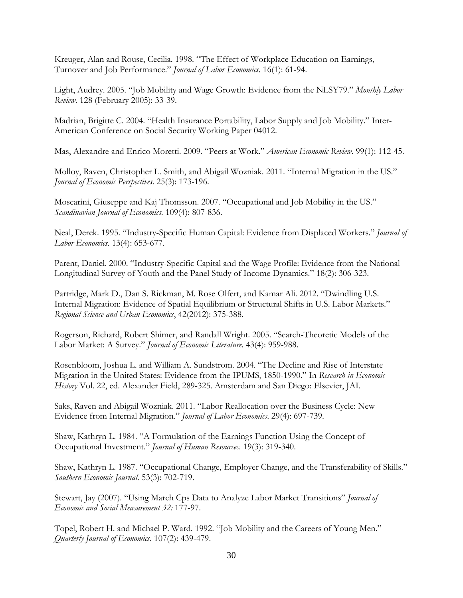Kreuger, Alan and Rouse, Cecilia. 1998. "The Effect of Workplace Education on Earnings, Turnover and Job Performance." *Journal of Labor Economics*. 16(1): 61-94.

Light, Audrey. 2005. "Job Mobility and Wage Growth: Evidence from the NLSY79." *Monthly Labor Review*. 128 (February 2005): 33-39.

Madrian, Brigitte C. 2004. "Health Insurance Portability, Labor Supply and Job Mobility." Inter-American Conference on Social Security Working Paper 04012.

Mas, Alexandre and Enrico Moretti. 2009. "Peers at Work." *American Economic Review*. 99(1): 112-45.

Molloy, Raven, Christopher L. Smith, and Abigail Wozniak. 2011. "Internal Migration in the US." *Journal of Economic Perspectives*. 25(3): 173-196.

Moscarini, Giuseppe and Kaj Thomsson. 2007. "Occupational and Job Mobility in the US." *Scandinavian Journal of Economics*. 109(4): 807-836.

Neal, Derek. 1995. "Industry-Specific Human Capital: Evidence from Displaced Workers." *Journal of Labor Economics*. 13(4): 653-677.

Parent, Daniel. 2000. "Industry-Specific Capital and the Wage Profile: Evidence from the National Longitudinal Survey of Youth and the Panel Study of Income Dynamics." 18(2): 306-323.

Partridge, Mark D., Dan S. Rickman, M. Rose Olfert, and Kamar Ali. 2012. "Dwindling U.S. Internal Migration: Evidence of Spatial Equilibrium or Structural Shifts in U.S. Labor Markets." *Regional Science and Urban Economics*, 42(2012): 375-388.

Rogerson, Richard, Robert Shimer, and Randall Wright. 2005. "Search-Theoretic Models of the Labor Market: A Survey." *Journal of Economic Literature.* 43(4): 959-988.

Rosenbloom, Joshua L. and William A. Sundstrom. 2004. "The Decline and Rise of Interstate Migration in the United States: Evidence from the IPUMS, 1850-1990." In *Research in Economic History* Vol. 22, ed. Alexander Field, 289-325. Amsterdam and San Diego: Elsevier, JAI.

Saks, Raven and Abigail Wozniak. 2011. "Labor Reallocation over the Business Cycle: New Evidence from Internal Migration." *Journal of Labor Economics*. 29(4): 697-739.

Shaw, Kathryn L. 1984. "A Formulation of the Earnings Function Using the Concept of Occupational Investment." *Journal of Human Resources*. 19(3): 319-340.

Shaw, Kathryn L. 1987. "Occupational Change, Employer Change, and the Transferability of Skills." *Southern Economic Journal*. 53(3): 702-719.

Stewart, Jay (2007). "Using March Cps Data to Analyze Labor Market Transitions" *Journal of Economic and Social Measurement 32:* 177-97.

Topel, Robert H. and Michael P. Ward. 1992. "Job Mobility and the Careers of Young Men." *Quarterly Journal of Economics*. 107(2): 439-479.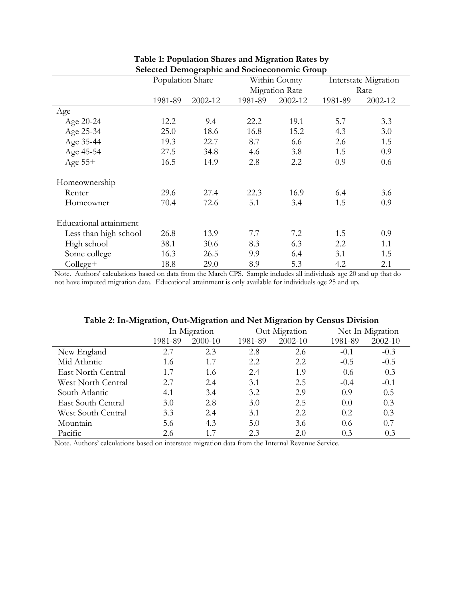|                        | Population Share |         |         | Within County         |         | Interstate Migration |  |
|------------------------|------------------|---------|---------|-----------------------|---------|----------------------|--|
|                        |                  |         |         | <b>Migration Rate</b> |         | Rate                 |  |
|                        | 1981-89          | 2002-12 | 1981-89 | 2002-12               | 1981-89 | 2002-12              |  |
| Age                    |                  |         |         |                       |         |                      |  |
| Age 20-24              | 12.2             | 9.4     | 22.2    | 19.1                  | 5.7     | 3.3                  |  |
| Age 25-34              | 25.0             | 18.6    | 16.8    | 15.2                  | 4.3     | 3.0                  |  |
| Age 35-44              | 19.3             | 22.7    | 8.7     | 6.6                   | 2.6     | 1.5                  |  |
| Age 45-54              | 27.5             | 34.8    | 4.6     | 3.8                   | 1.5     | 0.9                  |  |
| Age $55+$              | 16.5             | 14.9    | 2.8     | 2.2                   | 0.9     | 0.6                  |  |
| Homeownership          |                  |         |         |                       |         |                      |  |
| Renter                 | 29.6             | 27.4    | 22.3    | 16.9                  | 6.4     | 3.6                  |  |
| Homeowner              | 70.4             | 72.6    | 5.1     | 3.4                   | 1.5     | 0.9                  |  |
| Educational attainment |                  |         |         |                       |         |                      |  |
| Less than high school  | 26.8             | 13.9    | 7.7     | 7.2                   | 1.5     | 0.9                  |  |
| High school            | 38.1             | 30.6    | 8.3     | 6.3                   | 2.2     | 1.1                  |  |
| Some college           | 16.3             | 26.5    | 9.9     | 6.4                   | 3.1     | 1.5                  |  |
| College+               | 18.8             | 29.0    | 8.9     | 5.3                   | 4.2     | 2.1                  |  |

### **Table 1: Population Shares and Migration Rates by Selected Demographic and Socioeconomic Group**

Note. Authors' calculations based on data from the March CPS. Sample includes all individuals age 20 and up that do not have imputed migration data. Educational attainment is only available for individuals age 25 and up.

| Table 2. In-Migration, Out-Migration and INTentionally Census Division |              |         |         |               |         |                  |  |  |
|------------------------------------------------------------------------|--------------|---------|---------|---------------|---------|------------------|--|--|
|                                                                        | In-Migration |         |         | Out-Migration |         | Net In-Migration |  |  |
|                                                                        | 1981-89      | 2000-10 | 1981-89 | $2002 - 10$   | 1981-89 | 2002-10          |  |  |
| New England                                                            | 2.7          | 2.3     | 2.8     | 2.6           | $-0.1$  | $-0.3$           |  |  |
| Mid Atlantic                                                           | 1.6          | 1.7     | 2.2     | 2.2           | $-0.5$  | $-0.5$           |  |  |
| East North Central                                                     | 1.7          | 1.6     | 2.4     | 1.9           | $-0.6$  | $-0.3$           |  |  |
| West North Central                                                     | 2.7          | 2.4     | 3.1     | 2.5           | $-0.4$  | $-0.1$           |  |  |
| South Atlantic                                                         | 4.1          | 3.4     | 3.2     | 2.9           | 0.9     | 0.5              |  |  |
| East South Central                                                     | 3.0          | 2.8     | 3.0     | 2.5           | 0.0     | 0.3              |  |  |
| West South Central                                                     | 3.3          | 2.4     | 3.1     | 2.2           | 0.2     | 0.3              |  |  |
| Mountain                                                               | 5.6          | 4.3     | 5.0     | 3.6           | 0.6     | 0.7              |  |  |
| Pacific                                                                | 2.6          | 1.7     | 2.3     | 2.0           | 0.3     | $-0.3$           |  |  |

### **Table 2: In-Migration, Out-Migration and Net Migration by Census Division**

Note. Authors' calculations based on interstate migration data from the Internal Revenue Service.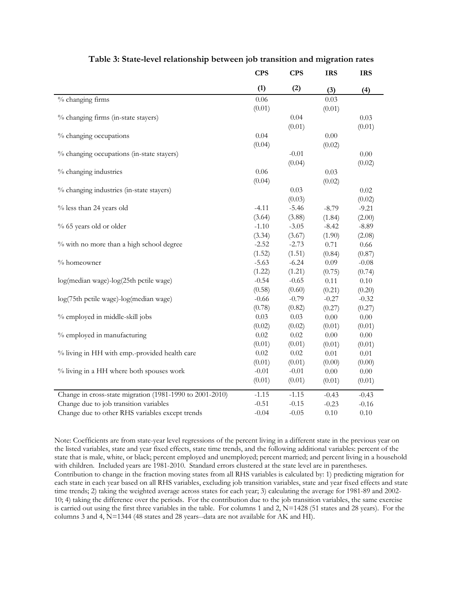|                                                          | <b>CPS</b> | <b>CPS</b> | <b>IRS</b> | <b>IRS</b> |
|----------------------------------------------------------|------------|------------|------------|------------|
|                                                          | (1)        | (2)        | (3)        | (4)        |
| % changing firms                                         | 0.06       |            | 0.03       |            |
|                                                          | (0.01)     |            | (0.01)     |            |
| % changing firms (in-state stayers)                      |            | 0.04       |            | 0.03       |
|                                                          |            | (0.01)     |            | (0.01)     |
| % changing occupations                                   | 0.04       |            | $0.00\,$   |            |
|                                                          | (0.04)     |            | (0.02)     |            |
| % changing occupations (in-state stayers)                |            | $-0.01$    |            | 0.00       |
|                                                          |            | (0.04)     |            | (0.02)     |
| % changing industries                                    | 0.06       |            | 0.03       |            |
|                                                          | (0.04)     |            | (0.02)     |            |
| % changing industries (in-state stayers)                 |            | 0.03       |            | $0.02\,$   |
|                                                          |            | (0.03)     |            | (0.02)     |
| % less than 24 years old                                 | $-4.11$    | $-5.46$    | $-8.79$    | $-9.21$    |
|                                                          | (3.64)     | (3.88)     | (1.84)     | (2.00)     |
| % 65 years old or older                                  | $-1.10$    | $-3.05$    | $-8.42$    | $-8.89$    |
|                                                          | (3.34)     | (3.67)     | (1.90)     | (2.08)     |
| % with no more than a high school degree                 | $-2.52$    | $-2.73$    | 0.71       | 0.66       |
|                                                          | (1.52)     | (1.51)     | (0.84)     | (0.87)     |
| % homeowner                                              | $-5.63$    | $-6.24$    | 0.09       | $-0.08$    |
|                                                          | (1.22)     | (1.21)     | (0.75)     | (0.74)     |
| log(median wage)-log(25th pctile wage)                   | $-0.54$    | $-0.65$    | 0.11       | $0.10\,$   |
|                                                          | (0.58)     | (0.60)     | (0.21)     | (0.20)     |
| log(75th pctile wage)-log(median wage)                   | $-0.66$    | $-0.79$    | $-0.27$    | $-0.32$    |
|                                                          | (0.78)     | (0.82)     | (0.27)     | (0.27)     |
| % employed in middle-skill jobs                          | 0.03       | 0.03       | 0.00       | 0.00       |
|                                                          | (0.02)     | (0.02)     | (0.01)     | (0.01)     |
| % employed in manufacturing                              | 0.02       | 0.02       | 0.00       | 0.00       |
|                                                          | (0.01)     | (0.01)     | (0.01)     | (0.01)     |
| % living in HH with emp.-provided health care            | $0.02\,$   | $0.02\,$   | 0.01       | $0.01\,$   |
|                                                          | (0.01)     | (0.01)     | (0.00)     | (0.00)     |
| % living in a HH where both spouses work                 | $-0.01$    | $-0.01$    | 0.00       | 0.00       |
|                                                          | (0.01)     | (0.01)     | (0.01)     | (0.01)     |
| Change in cross-state migration (1981-1990 to 2001-2010) | $-1.15$    | $-1.15$    | $-0.43$    | $-0.43$    |
| Change due to job transition variables                   | $-0.51$    | $-0.15$    | $-0.23$    | $-0.16$    |
| Change due to other RHS variables except trends          | $-0.04$    | $-0.05$    | $0.10\,$   | 0.10       |

#### **Table 3: State-level relationship between job transition and migration rates**

Note: Coefficients are from state-year level regressions of the percent living in a different state in the previous year on the listed variables, state and year fixed effects, state time trends, and the following additional variables: percent of the state that is male, white, or black; percent employed and unemployed; percent married; and percent living in a household with children. Included years are 1981-2010. Standard errors clustered at the state level are in parentheses. Contribution to change in the fraction moving states from all RHS variables is calculated by: 1) predicting migration for each state in each year based on all RHS variables, excluding job transition variables, state and year fixed effects and state time trends; 2) taking the weighted average across states for each year; 3) calculating the average for 1981-89 and 2002- 10; 4) taking the difference over the periods. For the contribution due to the job transition variables, the same exercise is carried out using the first three variables in the table. For columns 1 and 2, N=1428 (51 states and 28 years). For the columns 3 and 4, N=1344 (48 states and 28 years--data are not available for AK and HI).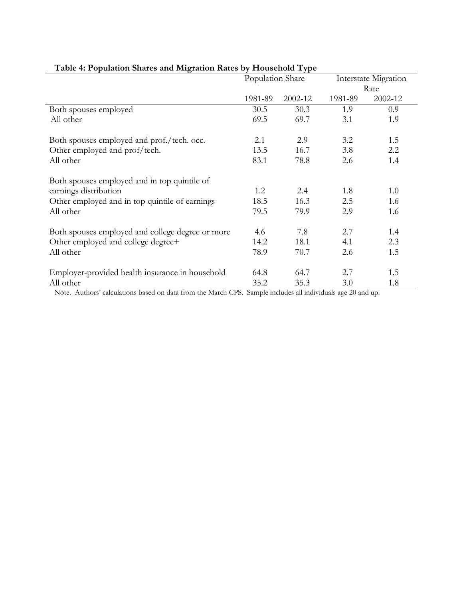|                                                  | Population Share |         |         | Interstate Migration |  |
|--------------------------------------------------|------------------|---------|---------|----------------------|--|
|                                                  |                  |         |         | Rate                 |  |
|                                                  | 1981-89          | 2002-12 | 1981-89 | 2002-12              |  |
| Both spouses employed                            | 30.5             | 30.3    | 1.9     | 0.9                  |  |
| All other                                        | 69.5             | 69.7    | 3.1     | 1.9                  |  |
| Both spouses employed and prof./tech. occ.       | 2.1              | 2.9     | 3.2     | 1.5                  |  |
| Other employed and prof/tech.                    | 13.5             | 16.7    | 3.8     | 2.2                  |  |
| All other                                        | 83.1             | 78.8    | 2.6     | 1.4                  |  |
| Both spouses employed and in top quintile of     |                  |         |         |                      |  |
| earnings distribution                            | 1.2              | 2.4     | 1.8     | 1.0                  |  |
| Other employed and in top quintile of earnings   | 18.5             | 16.3    | 2.5     | 1.6                  |  |
| All other                                        | 79.5             | 79.9    | 2.9     | 1.6                  |  |
| Both spouses employed and college degree or more | 4.6              | 7.8     | 2.7     | 1.4                  |  |
| Other employed and college degree+               | 14.2             | 18.1    | 4.1     | 2.3                  |  |
| All other                                        | 78.9             | 70.7    | 2.6     | 1.5                  |  |
| Employer-provided health insurance in household  | 64.8             | 64.7    | 2.7     | 1.5                  |  |
| All other                                        | 35.2             | 35.3    | 3.0     | 1.8                  |  |

### **Table 4: Population Shares and Migration Rates by Household Type**

Note. Authors' calculations based on data from the March CPS. Sample includes all individuals age 20 and up.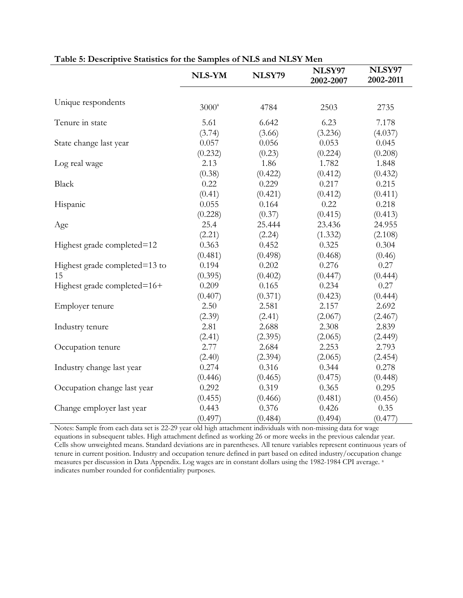|                               | <b>NLS-YM</b> | NLSY79  | NLSY97<br>2002-2007 | NLSY97<br>2002-2011 |
|-------------------------------|---------------|---------|---------------------|---------------------|
|                               |               |         |                     |                     |
| Unique respondents            | $3000^a$      | 4784    | 2503                | 2735                |
| Tenure in state               | 5.61          | 6.642   | 6.23                | 7.178               |
|                               | (3.74)        | (3.66)  | (3.236)             | (4.037)             |
| State change last year        | 0.057         | 0.056   | 0.053               | 0.045               |
|                               | (0.232)       | (0.23)  | (0.224)             | (0.208)             |
| Log real wage                 | 2.13          | 1.86    | 1.782               | 1.848               |
|                               | (0.38)        | (0.422) | (0.412)             | (0.432)             |
| <b>Black</b>                  | 0.22          | 0.229   | 0.217               | 0.215               |
|                               | (0.41)        | (0.421) | (0.412)             | (0.411)             |
| Hispanic                      | 0.055         | 0.164   | 0.22                | 0.218               |
|                               | (0.228)       | (0.37)  | (0.415)             | (0.413)             |
| Age                           | 25.4          | 25.444  | 23.436              | 24.955              |
|                               | (2.21)        | (2.24)  | (1.332)             | (2.108)             |
| Highest grade completed=12    | 0.363         | 0.452   | 0.325               | 0.304               |
|                               | (0.481)       | (0.498) | (0.468)             | (0.46)              |
| Highest grade completed=13 to | 0.194         | 0.202   | 0.276               | 0.27                |
| 15                            | (0.395)       | (0.402) | (0.447)             | (0.444)             |
| Highest grade completed=16+   | 0.209         | 0.165   | 0.234               | 0.27                |
|                               | (0.407)       | (0.371) | (0.423)             | (0.444)             |
| Employer tenure               | 2.50          | 2.581   | 2.157               | 2.692               |
|                               | (2.39)        | (2.41)  | (2.067)             | (2.467)             |
| Industry tenure               | 2.81          | 2.688   | 2.308               | 2.839               |
|                               | (2.41)        | (2.395) | (2.065)             | (2.449)             |
| Occupation tenure             | 2.77          | 2.684   | 2.253               | 2.793               |
|                               | (2.40)        | (2.394) | (2.065)             | (2.454)             |
| Industry change last year     | 0.274         | 0.316   | 0.344               | 0.278               |
|                               | (0.446)       | (0.465) | (0.475)             | (0.448)             |
| Occupation change last year   | 0.292         | 0.319   | 0.365               | 0.295               |
|                               | (0.455)       | (0.466) | (0.481)             | (0.456)             |
| Change employer last year     | 0.443         | 0.376   | 0.426               | 0.35                |
|                               | (0.497)       | (0.484) | (0.494)             | (0.477)             |

### **Table 5: Descriptive Statistics for the Samples of NLS and NLSY Men**

Notes: Sample from each data set is 22-29 year old high attachment individuals with non-missing data for wage equations in subsequent tables. High attachment defined as working 26 or more weeks in the previous calendar year. Cells show unweighted means. Standard deviations are in parentheses. All tenure variables represent continuous years of tenure in current position. Industry and occupation tenure defined in part based on edited industry/occupation change measures per discussion in Data Appendix. Log wages are in constant dollars using the 1982-1984 CPI average. a indicates number rounded for confidentiality purposes.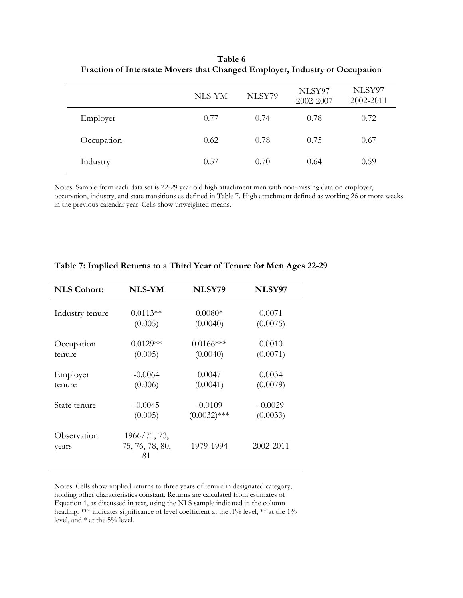|            | NLS-YM | NLSY79 | NLSY97<br>2002-2007 | NLSY97<br>2002-2011 |
|------------|--------|--------|---------------------|---------------------|
| Employer   | 0.77   | 0.74   | 0.78                | 0.72                |
| Occupation | 0.62   | 0.78   | 0.75                | 0.67                |
| Industry   | 0.57   | 0.70   | 0.64                | 0.59                |

**Table 6 Fraction of Interstate Movers that Changed Employer, Industry or Occupation** 

Notes: Sample from each data set is 22-29 year old high attachment men with non-missing data on employer, occupation, industry, and state transitions as defined in Table 7. High attachment defined as working 26 or more weeks in the previous calendar year. Cells show unweighted means.

| <b>NLS Cohort:</b>   | <b>NLS-YM</b>                         | NLSY79         | NLSY97    |
|----------------------|---------------------------------------|----------------|-----------|
| Industry tenure      | $0.0113**$                            | $0.0080*$      | 0.0071    |
|                      | (0.005)                               | (0.0040)       | (0.0075)  |
| Occupation           | $0.0129**$                            | $0.0166$ ***   | 0.0010    |
| tenure               | (0.005)                               | (0.0040)       | (0.0071)  |
| Employer             | $-0.0064$                             | 0.0047         | 0.0034    |
| tenure               | (0.006)                               | (0.0041)       | (0.0079)  |
| State tenure         | $-0.0045$                             | $-0.0109$      | $-0.0029$ |
|                      | (0.005)                               | $(0.0032)$ *** | (0.0033)  |
| Observation<br>years | 1966/71, 73,<br>75, 76, 78, 80,<br>81 | 1979-1994      | 2002-2011 |

### **Table 7: Implied Returns to a Third Year of Tenure for Men Ages 22-29**

Notes: Cells show implied returns to three years of tenure in designated category, holding other characteristics constant. Returns are calculated from estimates of Equation 1, as discussed in text, using the NLS sample indicated in the column heading. \*\*\* indicates significance of level coefficient at the .1% level, \*\* at the 1% level, and \* at the 5% level.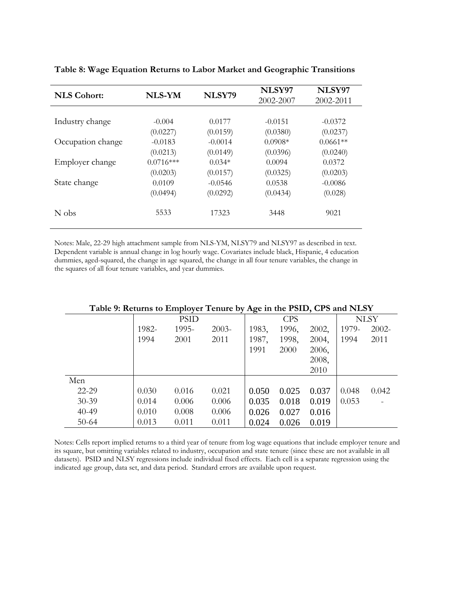| <b>NLS Cohort:</b> | <b>NLS-YM</b> | NLSY79    | NLSY97    | NLSY97     |  |
|--------------------|---------------|-----------|-----------|------------|--|
|                    |               |           | 2002-2007 | 2002-2011  |  |
|                    |               |           |           |            |  |
| Industry change    | $-0.004$      | 0.0177    | $-0.0151$ | $-0.0372$  |  |
|                    | (0.0227)      | (0.0159)  | (0.0380)  | (0.0237)   |  |
| Occupation change  | $-0.0183$     | $-0.0014$ | $0.0908*$ | $0.0661**$ |  |
|                    | (0.0213)      | (0.0149)  | (0.0396)  | (0.0240)   |  |
| Employer change    | $0.0716***$   | $0.034*$  | 0.0094    | 0.0372     |  |
|                    | (0.0203)      | (0.0157)  | (0.0325)  | (0.0203)   |  |
| State change       | 0.0109        | $-0.0546$ | 0.0538    | $-0.0086$  |  |
|                    | (0.0494)      | (0.0292)  | (0.0434)  | (0.028)    |  |
| N obs              | 5533          | 17323     | 3448      | 9021       |  |

**Table 8: Wage Equation Returns to Labor Market and Geographic Transitions** 

Notes: Male, 22-29 high attachment sample from NLS-YM, NLSY79 and NLSY97 as described in text. Dependent variable is annual change in log hourly wage. Covariates include black, Hispanic, 4 education dummies, aged-squared, the change in age squared, the change in all four tenure variables, the change in the squares of all four tenure variables, and year dummies.

|           | <b>PSID</b> |       |          | ెరె<br><b>CPS</b> |       |       | <b>NLSY</b> |          |
|-----------|-------------|-------|----------|-------------------|-------|-------|-------------|----------|
|           | 1982-       | 1995- | $2003 -$ | 1983,             | 1996, | 2002, | 1979-       | $2002 -$ |
|           | 1994        | 2001  | 2011     | 1987,             | 1998, | 2004, | 1994        | 2011     |
|           |             |       |          | 1991              | 2000  | 2006, |             |          |
|           |             |       |          |                   |       | 2008, |             |          |
|           |             |       |          |                   |       | 2010  |             |          |
| Men       |             |       |          |                   |       |       |             |          |
| 22-29     | 0.030       | 0.016 | 0.021    | 0.050             | 0.025 | 0.037 | 0.048       | 0.042    |
| $30 - 39$ | 0.014       | 0.006 | 0.006    | 0.035             | 0.018 | 0.019 | 0.053       |          |
| $40 - 49$ | 0.010       | 0.008 | 0.006    | 0.026             | 0.027 | 0.016 |             |          |
| $50 - 64$ | 0.013       | 0.011 | 0.011    | 0.024             | 0.026 | 0.019 |             |          |

#### **Table 9: Returns to Employer Tenure by Age in the PSID, CPS and NLSY**

Notes: Cells report implied returns to a third year of tenure from log wage equations that include employer tenure and its square, but omitting variables related to industry, occupation and state tenure (since these are not available in all datasets). PSID and NLSY regressions include individual fixed effects. Each cell is a separate regression using the indicated age group, data set, and data period. Standard errors are available upon request.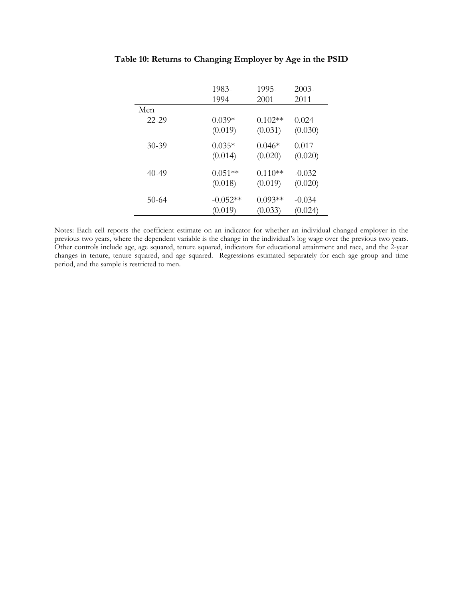|         | 1983-      | 1995-     | $2003-$  |
|---------|------------|-----------|----------|
|         | 1994       | 2001      | 2011     |
| Men     |            |           |          |
| 22-29   | $0.039*$   | $0.102**$ | 0.024    |
|         | (0.019)    | (0.031)   | (0.030)  |
| $30-39$ | $0.035*$   | $0.046*$  | 0.017    |
|         | (0.014)    | (0.020)   | (0.020)  |
| 40-49   | $0.051**$  | $0.110**$ | $-0.032$ |
|         | (0.018)    | (0.019)   | (0.020)  |
| $50-64$ | $-0.052**$ | $0.093**$ | $-0.034$ |
|         | (0.019)    | (0.033)   | (0.024)  |

**Table 10: Returns to Changing Employer by Age in the PSID** 

Notes: Each cell reports the coefficient estimate on an indicator for whether an individual changed employer in the previous two years, where the dependent variable is the change in the individual's log wage over the previous two years. Other controls include age, age squared, tenure squared, indicators for educational attainment and race, and the 2-year changes in tenure, tenure squared, and age squared. Regressions estimated separately for each age group and time period, and the sample is restricted to men.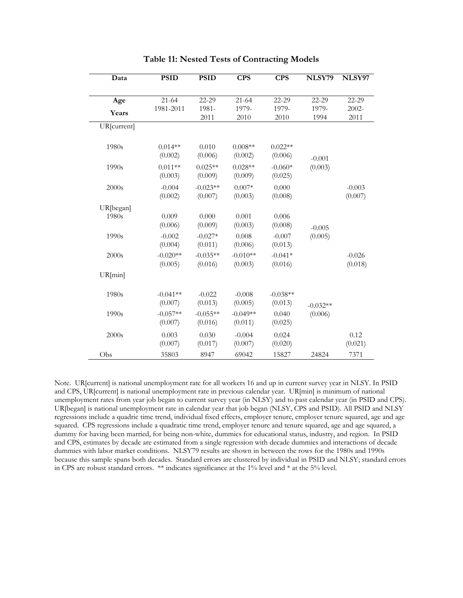| Data        | <b>PSID</b> | <b>PSID</b> | <b>CPS</b> | <b>CPS</b> | NLSY79                | NLSY97   |
|-------------|-------------|-------------|------------|------------|-----------------------|----------|
|             |             |             |            |            |                       |          |
| Age         | $21 - 64$   | 22-29       | $21 - 64$  | 22-29      | 22-29                 | 22-29    |
| Years       | 1981-2011   | 1981-       | 1979-      | 1979-      | 1979-                 | $2002 -$ |
|             |             | 2011        | 2010       | 2010       | 1994                  | 2011     |
| UR[current] |             |             |            |            |                       |          |
|             |             |             |            |            |                       |          |
| 1980s       | $0.014**$   | 0.010       | $0.008**$  | $0.022**$  |                       |          |
|             | (0.002)     | (0.006)     | (0.002)    | (0.006)    | $-0.001$              |          |
| 1990s       | $0.011**$   | $0.025**$   | $0.028**$  | $-0.060*$  | (0.003)               |          |
|             | (0.003)     | (0.009)     | (0.009)    | (0.025)    |                       |          |
| 2000s       | $-0.004$    | $-0.023**$  | $0.007*$   | 0.000      |                       | $-0.003$ |
|             | (0.002)     | (0.007)     | (0.003)    | (0.008)    |                       | (0.007)  |
| UR[began]   |             |             |            |            |                       |          |
| 1980s       | 0.009       | 0.000       | 0.001      | 0.006      |                       |          |
|             | (0.006)     | (0.009)     | (0.003)    | (0.008)    | $-0.005$              |          |
| 1990s       | $-0.002$    | $-0.027*$   | 0.008      | $-0.007$   | (0.005)               |          |
|             | (0.004)     | (0.011)     | (0.006)    | (0.013)    |                       |          |
| 2000s       | $-0.020**$  | $-0.035**$  | $-0.010**$ | $-0.041*$  |                       | $-0.026$ |
|             | (0.005)     | (0.016)     | (0.003)    | (0.016)    |                       | (0.018)  |
| UR[min]     |             |             |            |            |                       |          |
|             |             |             |            |            |                       |          |
| 1980s       | $-0.041**$  | $-0.022$    | $-0.008$   | $-0.038**$ |                       |          |
|             | (0.007)     | (0.013)     | (0.005)    | (0.013)    |                       |          |
| 1990s       | $-0.057**$  | $-0.055**$  | $-0.049**$ | 0.040      | $-0.032**$<br>(0.006) |          |
|             | (0.007)     | (0.016)     | (0.011)    | (0.025)    |                       |          |
|             |             |             |            |            |                       |          |
| 2000s       | 0.003       | 0.030       | $-0.004$   | 0.024      |                       | 0.12     |
|             | (0.007)     | (0.017)     | (0.007)    | (0.020)    |                       | (0.021)  |
| Obs         | 35803       | 8947        | 69042      | 15827      | 24824                 | 7371     |

#### **Table 11: Nested Tests of Contracting Models**

Note. UR[current] is national unemployment rate for all workers 16 and up in current survey year in NLSY. In PSID and CPS, UR[current] is national unemployment rate in previous calendar year. UR[min] is minimum of national unemployment rates from year job began to current survey year (in NLSY) and to past calendar year (in PSID and CPS). UR[began] is national unemployment rate in calendar year that job began (NLSY, CPS and PSID). All PSID and NLSY regressions include a quadric time trend, individual fixed effects, employer tenure, employer tenure squared, age and age squared. CPS regressions include a quadratic time trend, employer tenure and tenure squared, age and age squared, a dummy for having been married, for being non-white, dummies for educational status, industry, and region. In PSID and CPS, estimates by decade are estimated from a single regression with decade dummies and interactions of decade dummies with labor market conditions. NLSY79 results are shown in between the rows for the 1980s and 1990s because this sample spans both decades. Standard errors are clustered by individual in PSID and NLSY; standard errors in CPS are robust standard errors. \*\* indicates significance at the 1% level and \* at the 5% level.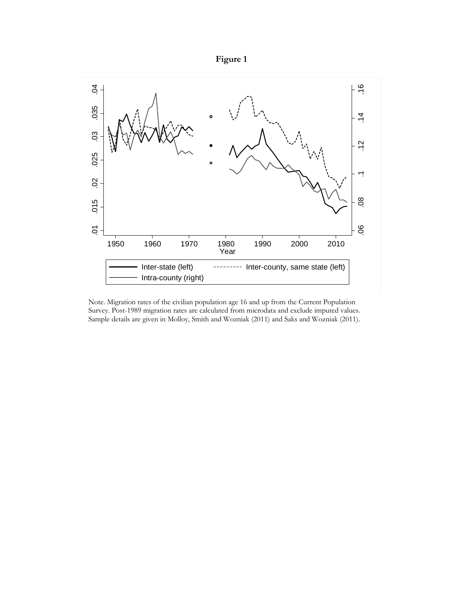



Note. Migration rates of the civilian population age 16 and up from the Current Population Survey. Post-1989 migration rates are calculated from microdata and exclude imputed values. Sample details are given in Molloy, Smith and Wozniak (2011) and Saks and Wozniak (2011).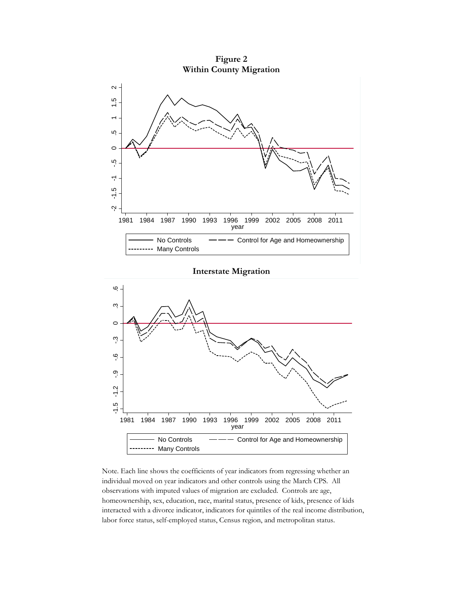**Figure 2 Within County Migration**  1996 1999<br>year No Controls ——— Control for Age and Homeownership Many Controls

#### **Interstate Migration**



Note. Each line shows the coefficients of year indicators from regressing whether an individual moved on year indicators and other controls using the March CPS. All observations with imputed values of migration are excluded. Controls are age, homeownership, sex, education, race, marital status, presence of kids, presence of kids interacted with a divorce indicator, indicators for quintiles of the real income distribution, labor force status, self-employed status, Census region, and metropolitan status.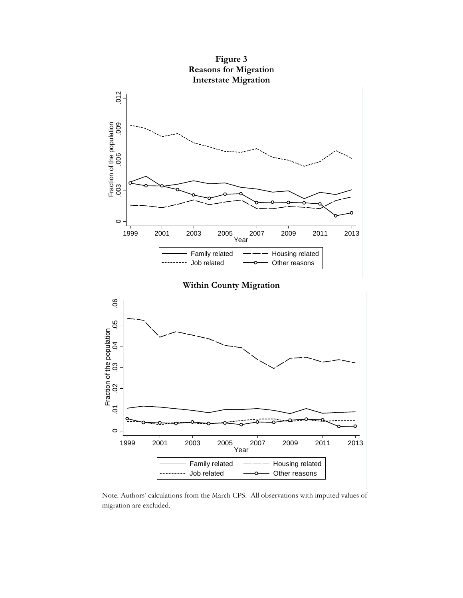

Note. Authors' calculations from the March CPS. All observations with imputed values of migration are excluded.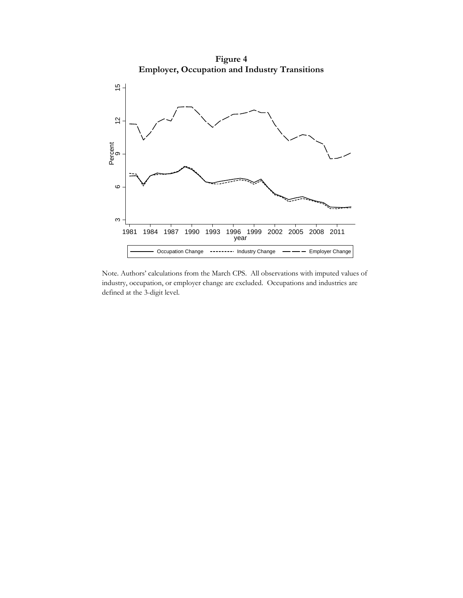**Figure 4 Employer, Occupation and Industry Transitions** 



Note. Authors' calculations from the March CPS. All observations with imputed values of industry, occupation, or employer change are excluded. Occupations and industries are defined at the 3-digit level.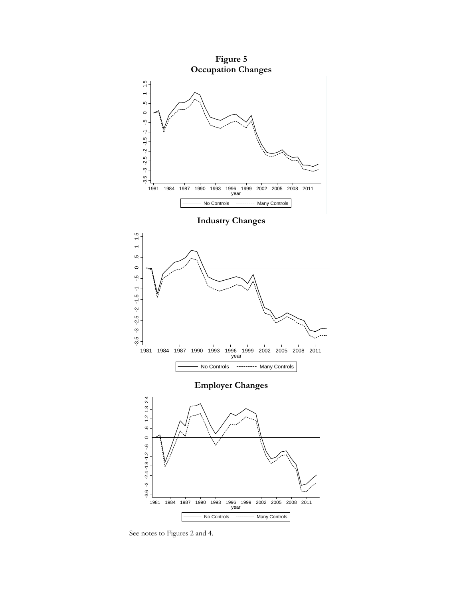

See notes to Figures 2 and 4.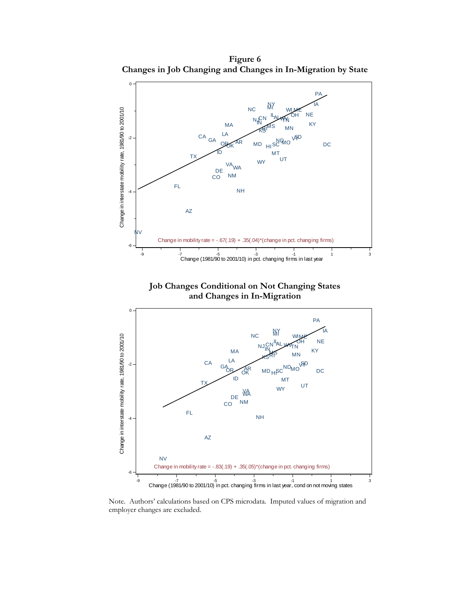**Figure 6 Changes in Job Changing and Changes in In-Migration by State** 



Note. Authors' calculations based on CPS microdata. Imputed values of migration and employer changes are excluded.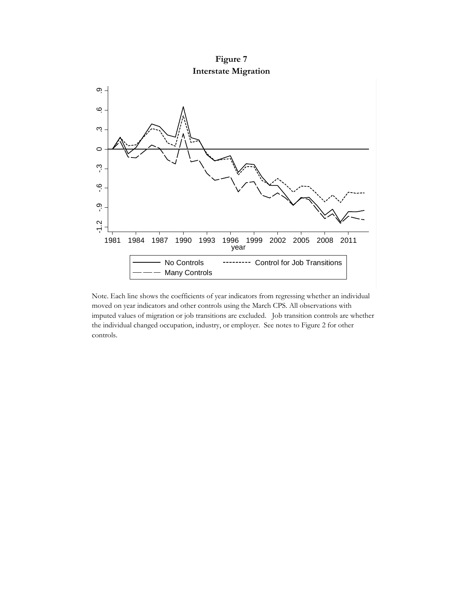**Figure 7 Interstate Migration** 



Note. Each line shows the coefficients of year indicators from regressing whether an individual moved on year indicators and other controls using the March CPS. All observations with imputed values of migration or job transitions are excluded. Job transition controls are whether the individual changed occupation, industry, or employer. See notes to Figure 2 for other controls.